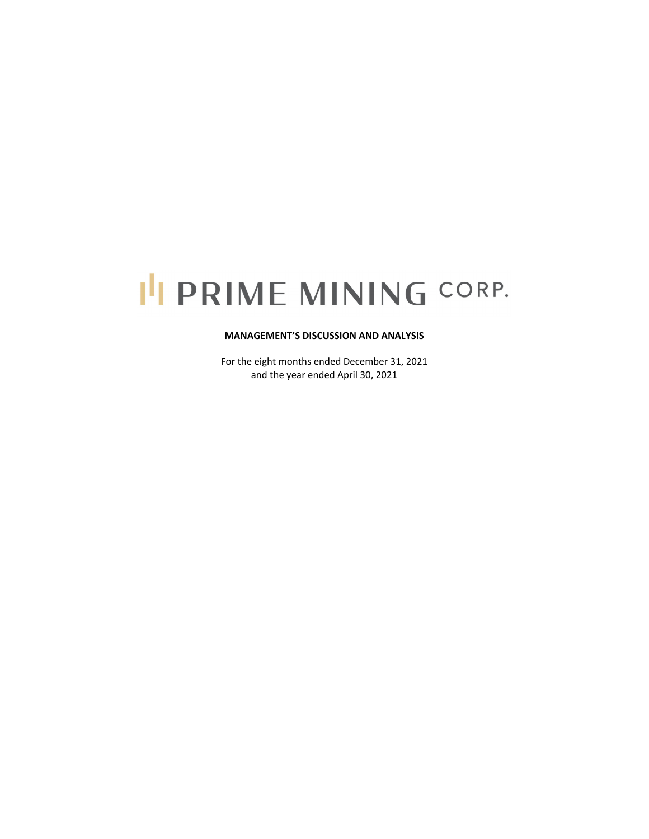# I'I PRIME MINING CORP.

#### **MANAGEMENT'S DISCUSSION AND ANALYSIS**

For the eight months ended December 31, 2021 and the year ended April 30, 2021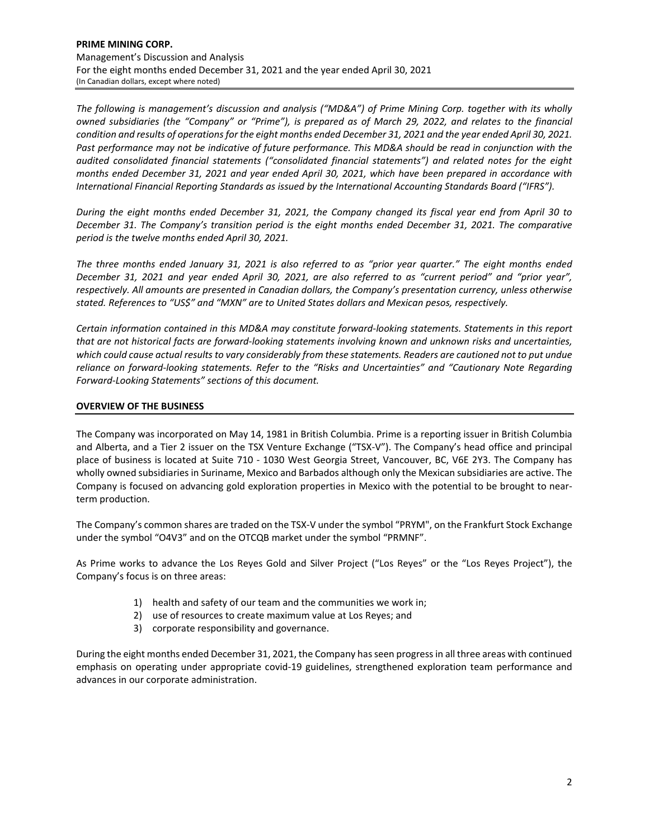*The following is management's discussion and analysis ("MD&A") of Prime Mining Corp. together with its wholly* owned subsidiaries (the "Company" or "Prime"), is prepared as of March 29, 2022, and relates to the financial condition and results of operations for the eight months ended December 31, 2021 and the year ended April 30, 2021. Past performance may not be indicative of future performance. This MD&A should be read in conjunction with the *audited consolidated financial statements ("consolidated financial statements") and related notes for the eight* months ended December 31, 2021 and year ended April 30, 2021, which have been prepared in accordance with *International Financial Reporting Standards as issued by the International Accounting Standards Board ("IFRS").* 

During the eight months ended December 31, 2021, the Company changed its fiscal year end from April 30 to *December 31. The Company's transition period is the eight months ended December 31, 2021. The comparative period is the twelve months ended April 30, 2021.* 

The three months ended January 31, 2021 is also referred to as "prior year quarter." The eight months ended December 31, 2021 and year ended April 30, 2021, are also referred to as "current period" and "prior year", *respectively. All amounts are presented in Canadian dollars, the Company's presentation currency, unless otherwise stated. References to "US\$" and "MXN" are to United States dollars and Mexican pesos, respectively.*

*Certain information contained in this MD&A may constitute forward‐looking statements. Statements in this report* that are not historical facts are forward-looking statements involving known and unknown risks and uncertainties, which could cause actual results to vary considerably from these statements. Readers are cautioned not to put undue *reliance on forward‐looking statements. Refer to the "Risks and Uncertainties" and "Cautionary Note Regarding Forward‐Looking Statements" sections of this document.* 

# **OVERVIEW OF THE BUSINESS**

The Company was incorporated on May 14, 1981 in British Columbia. Prime is a reporting issuer in British Columbia and Alberta, and a Tier 2 issuer on the TSX Venture Exchange ("TSX-V"). The Company's head office and principal place of business is located at Suite 710 - 1030 West Georgia Street, Vancouver, BC, V6E 2Y3. The Company has wholly owned subsidiaries in Suriname, Mexico and Barbados although only the Mexican subsidiaries are active. The Company is focused on advancing gold exploration properties in Mexico with the potential to be brought to near‐ term production.

The Company's common shares are traded on the TSX‐V under the symbol "PRYM", on the Frankfurt Stock Exchange under the symbol "O4V3" and on the OTCQB market under the symbol "PRMNF".

As Prime works to advance the Los Reyes Gold and Silver Project ("Los Reyes" or the "Los Reyes Project"), the Company's focus is on three areas:

- 1) health and safety of our team and the communities we work in;
- 2) use of resources to create maximum value at Los Reyes; and
- 3) corporate responsibility and governance.

During the eight months ended December 31, 2021, the Company hasseen progressin all three areas with continued emphasis on operating under appropriate covid-19 guidelines, strengthened exploration team performance and advances in our corporate administration.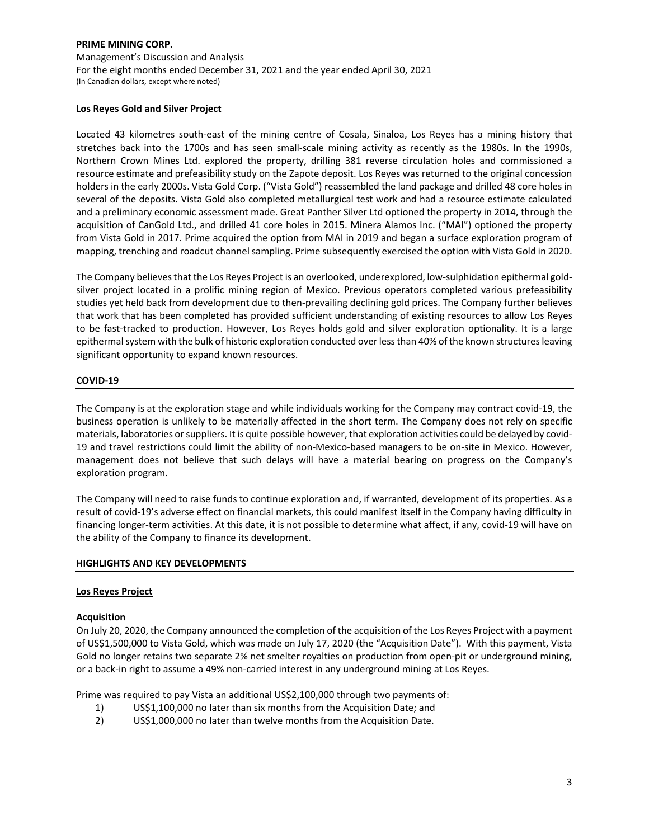## **Los Reyes Gold and Silver Project**

Located 43 kilometres south‐east of the mining centre of Cosala, Sinaloa, Los Reyes has a mining history that stretches back into the 1700s and has seen small‐scale mining activity as recently as the 1980s. In the 1990s, Northern Crown Mines Ltd. explored the property, drilling 381 reverse circulation holes and commissioned a resource estimate and prefeasibility study on the Zapote deposit. Los Reyes was returned to the original concession holders in the early 2000s. Vista Gold Corp. ("Vista Gold") reassembled the land package and drilled 48 core holes in several of the deposits. Vista Gold also completed metallurgical test work and had a resource estimate calculated and a preliminary economic assessment made. Great Panther Silver Ltd optioned the property in 2014, through the acquisition of CanGold Ltd., and drilled 41 core holes in 2015. Minera Alamos Inc. ("MAI") optioned the property from Vista Gold in 2017. Prime acquired the option from MAI in 2019 and began a surface exploration program of mapping, trenching and roadcut channel sampling. Prime subsequently exercised the option with Vista Gold in 2020.

The Company believes that the Los Reyes Project is an overlooked, underexplored, low-sulphidation epithermal goldsilver project located in a prolific mining region of Mexico. Previous operators completed various prefeasibility studies yet held back from development due to then‐prevailing declining gold prices. The Company further believes that work that has been completed has provided sufficient understanding of existing resources to allow Los Reyes to be fast-tracked to production. However, Los Reyes holds gold and silver exploration optionality. It is a large epithermal system with the bulk of historic exploration conducted over less than 40% of the known structures leaving significant opportunity to expand known resources.

#### **COVID‐19**

The Company is at the exploration stage and while individuals working for the Company may contract covid‐19, the business operation is unlikely to be materially affected in the short term. The Company does not rely on specific materials, laboratories or suppliers. It is quite possible however, that exploration activities could be delayed by covid-19 and travel restrictions could limit the ability of non-Mexico-based managers to be on-site in Mexico. However, management does not believe that such delays will have a material bearing on progress on the Company's exploration program.

The Company will need to raise funds to continue exploration and, if warranted, development of its properties. As a result of covid‐19's adverse effect on financial markets, this could manifest itself in the Company having difficulty in financing longer-term activities. At this date, it is not possible to determine what affect, if any, covid-19 will have on the ability of the Company to finance its development.

#### **HIGHLIGHTS AND KEY DEVELOPMENTS**

#### **Los Reyes Project**

#### **Acquisition**

On July 20, 2020, the Company announced the completion of the acquisition of the Los Reyes Project with a payment of US\$1,500,000 to Vista Gold, which was made on July 17, 2020 (the "Acquisition Date"). With this payment, Vista Gold no longer retains two separate 2% net smelter royalties on production from open‐pit or underground mining, or a back‐in right to assume a 49% non‐carried interest in any underground mining at Los Reyes.

Prime was required to pay Vista an additional US\$2,100,000 through two payments of:

- 1) US\$1,100,000 no later than six months from the Acquisition Date; and
- 2) US\$1,000,000 no later than twelve months from the Acquisition Date.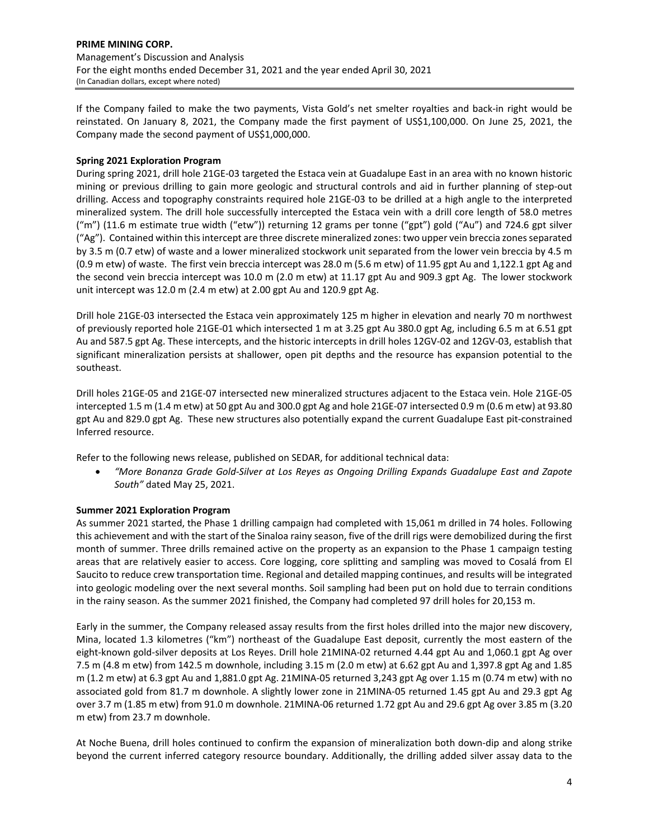If the Company failed to make the two payments, Vista Gold's net smelter royalties and back‐in right would be reinstated. On January 8, 2021, the Company made the first payment of US\$1,100,000. On June 25, 2021, the Company made the second payment of US\$1,000,000.

# **Spring 2021 Exploration Program**

During spring 2021, drill hole 21GE‐03 targeted the Estaca vein at Guadalupe East in an area with no known historic mining or previous drilling to gain more geologic and structural controls and aid in further planning of step-out drilling. Access and topography constraints required hole 21GE‐03 to be drilled at a high angle to the interpreted mineralized system. The drill hole successfully intercepted the Estaca vein with a drill core length of 58.0 metres ("m") (11.6 m estimate true width ("etw")) returning 12 grams per tonne ("gpt") gold ("Au") and 724.6 gpt silver ("Ag"). Contained within thisintercept are three discrete mineralized zones: two upper vein breccia zonesseparated by 3.5 m (0.7 etw) of waste and a lower mineralized stockwork unit separated from the lower vein breccia by 4.5 m (0.9 m etw) of waste. The first vein breccia intercept was 28.0 m (5.6 m etw) of 11.95 gpt Au and 1,122.1 gpt Ag and the second vein breccia intercept was 10.0 m (2.0 m etw) at 11.17 gpt Au and 909.3 gpt Ag. The lower stockwork unit intercept was 12.0 m (2.4 m etw) at 2.00 gpt Au and 120.9 gpt Ag.

Drill hole 21GE‐03 intersected the Estaca vein approximately 125 m higher in elevation and nearly 70 m northwest of previously reported hole 21GE‐01 which intersected 1 m at 3.25 gpt Au 380.0 gpt Ag, including 6.5 m at 6.51 gpt Au and 587.5 gpt Ag. These intercepts, and the historic intercepts in drill holes 12GV‐02 and 12GV‐03, establish that significant mineralization persists at shallower, open pit depths and the resource has expansion potential to the southeast.

Drill holes 21GE‐05 and 21GE‐07 intersected new mineralized structures adjacent to the Estaca vein. Hole 21GE‐05 intercepted 1.5 m (1.4 m etw) at 50 gpt Au and 300.0 gpt Ag and hole 21GE‐07 intersected 0.9 m (0.6 m etw) at 93.80 gpt Au and 829.0 gpt Ag. These new structures also potentially expand the current Guadalupe East pit‐constrained Inferred resource.

Refer to the following news release, published on SEDAR, for additional technical data:

 *"More Bonanza Grade Gold‐Silver at Los Reyes as Ongoing Drilling Expands Guadalupe East and Zapote South"* dated May 25, 2021.

# **Summer 2021 Exploration Program**

As summer 2021 started, the Phase 1 drilling campaign had completed with 15,061 m drilled in 74 holes. Following this achievement and with the start of the Sinaloa rainy season, five of the drill rigs were demobilized during the first month of summer. Three drills remained active on the property as an expansion to the Phase 1 campaign testing areas that are relatively easier to access. Core logging, core splitting and sampling was moved to Cosalá from El Saucito to reduce crew transportation time. Regional and detailed mapping continues, and results will be integrated into geologic modeling over the next several months. Soil sampling had been put on hold due to terrain conditions in the rainy season. As the summer 2021 finished, the Company had completed 97 drill holes for 20,153 m.

Early in the summer, the Company released assay results from the first holes drilled into the major new discovery, Mina, located 1.3 kilometres ("km") northeast of the Guadalupe East deposit, currently the most eastern of the eight-known gold-silver deposits at Los Reyes. Drill hole 21MINA-02 returned 4.44 gpt Au and 1,060.1 gpt Ag over 7.5 m (4.8 m etw) from 142.5 m downhole, including 3.15 m (2.0 m etw) at 6.62 gpt Au and 1,397.8 gpt Ag and 1.85 m (1.2 m etw) at 6.3 gpt Au and 1,881.0 gpt Ag. 21MINA‐05 returned 3,243 gpt Ag over 1.15 m (0.74 m etw) with no associated gold from 81.7 m downhole. A slightly lower zone in 21MINA‐05 returned 1.45 gpt Au and 29.3 gpt Ag over 3.7 m (1.85 m etw) from 91.0 m downhole. 21MINA‐06 returned 1.72 gpt Au and 29.6 gpt Ag over 3.85 m (3.20 m etw) from 23.7 m downhole.

At Noche Buena, drill holes continued to confirm the expansion of mineralization both down‐dip and along strike beyond the current inferred category resource boundary. Additionally, the drilling added silver assay data to the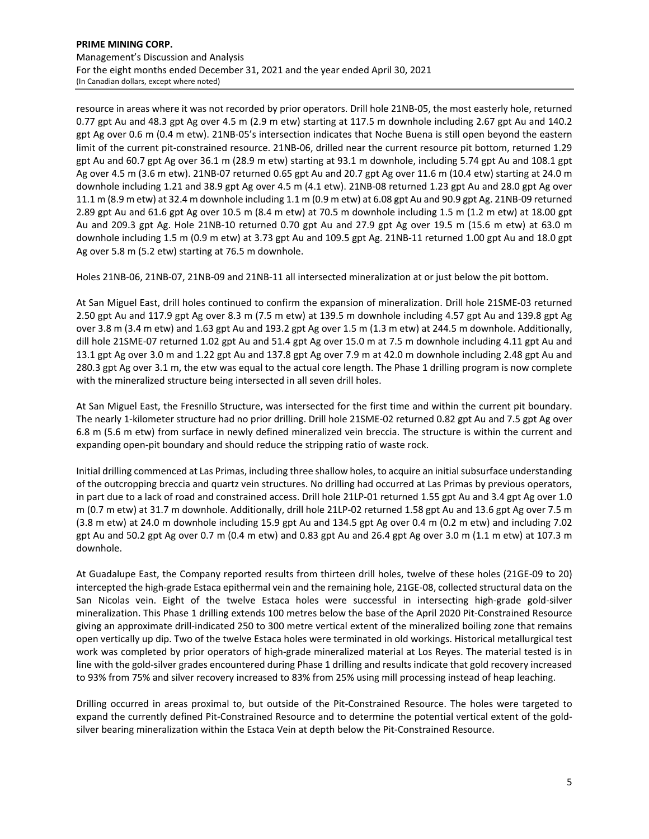resource in areas where it was not recorded by prior operators. Drill hole 21NB‐05, the most easterly hole, returned 0.77 gpt Au and 48.3 gpt Ag over 4.5 m (2.9 m etw) starting at 117.5 m downhole including 2.67 gpt Au and 140.2 gpt Ag over 0.6 m (0.4 m etw). 21NB‐05's intersection indicates that Noche Buena is still open beyond the eastern limit of the current pit‐constrained resource. 21NB‐06, drilled near the current resource pit bottom, returned 1.29 gpt Au and 60.7 gpt Ag over 36.1 m (28.9 m etw) starting at 93.1 m downhole, including 5.74 gpt Au and 108.1 gpt Ag over 4.5 m (3.6 m etw). 21NB‐07 returned 0.65 gpt Au and 20.7 gpt Ag over 11.6 m (10.4 etw) starting at 24.0 m downhole including 1.21 and 38.9 gpt Ag over 4.5 m (4.1 etw). 21NB‐08 returned 1.23 gpt Au and 28.0 gpt Ag over 11.1 m (8.9 m etw) at 32.4 m downhole including 1.1 m (0.9 m etw) at 6.08 gpt Au and 90.9 gpt Ag. 21NB‐09 returned 2.89 gpt Au and 61.6 gpt Ag over 10.5 m (8.4 m etw) at 70.5 m downhole including 1.5 m (1.2 m etw) at 18.00 gpt Au and 209.3 gpt Ag. Hole 21NB‐10 returned 0.70 gpt Au and 27.9 gpt Ag over 19.5 m (15.6 m etw) at 63.0 m downhole including 1.5 m (0.9 m etw) at 3.73 gpt Au and 109.5 gpt Ag. 21NB‐11 returned 1.00 gpt Au and 18.0 gpt Ag over 5.8 m (5.2 etw) starting at 76.5 m downhole.

Holes 21NB‐06, 21NB‐07, 21NB‐09 and 21NB‐11 all intersected mineralization at or just below the pit bottom.

At San Miguel East, drill holes continued to confirm the expansion of mineralization. Drill hole 21SME‐03 returned 2.50 gpt Au and 117.9 gpt Ag over 8.3 m (7.5 m etw) at 139.5 m downhole including 4.57 gpt Au and 139.8 gpt Ag over 3.8 m (3.4 m etw) and 1.63 gpt Au and 193.2 gpt Ag over 1.5 m (1.3 m etw) at 244.5 m downhole. Additionally, dill hole 21SME‐07 returned 1.02 gpt Au and 51.4 gpt Ag over 15.0 m at 7.5 m downhole including 4.11 gpt Au and 13.1 gpt Ag over 3.0 m and 1.22 gpt Au and 137.8 gpt Ag over 7.9 m at 42.0 m downhole including 2.48 gpt Au and 280.3 gpt Ag over 3.1 m, the etw was equal to the actual core length. The Phase 1 drilling program is now complete with the mineralized structure being intersected in all seven drill holes.

At San Miguel East, the Fresnillo Structure, was intersected for the first time and within the current pit boundary. The nearly 1‐kilometer structure had no prior drilling. Drill hole 21SME‐02 returned 0.82 gpt Au and 7.5 gpt Ag over 6.8 m (5.6 m etw) from surface in newly defined mineralized vein breccia. The structure is within the current and expanding open‐pit boundary and should reduce the stripping ratio of waste rock.

Initial drilling commenced at Las Primas, including three shallow holes, to acquire an initial subsurface understanding of the outcropping breccia and quartz vein structures. No drilling had occurred at Las Primas by previous operators, in part due to a lack of road and constrained access. Drill hole 21LP‐01 returned 1.55 gpt Au and 3.4 gpt Ag over 1.0 m (0.7 m etw) at 31.7 m downhole. Additionally, drill hole 21LP‐02 returned 1.58 gpt Au and 13.6 gpt Ag over 7.5 m (3.8 m etw) at 24.0 m downhole including 15.9 gpt Au and 134.5 gpt Ag over 0.4 m (0.2 m etw) and including 7.02 gpt Au and 50.2 gpt Ag over 0.7 m (0.4 m etw) and 0.83 gpt Au and 26.4 gpt Ag over 3.0 m (1.1 m etw) at 107.3 m downhole.

At Guadalupe East, the Company reported results from thirteen drill holes, twelve of these holes (21GE‐09 to 20) intercepted the high‐grade Estaca epithermal vein and the remaining hole, 21GE‐08, collected structural data on the San Nicolas vein. Eight of the twelve Estaca holes were successful in intersecting high‐grade gold‐silver mineralization. This Phase 1 drilling extends 100 metres below the base of the April 2020 Pit‐Constrained Resource giving an approximate drill‐indicated 250 to 300 metre vertical extent of the mineralized boiling zone that remains open vertically up dip. Two of the twelve Estaca holes were terminated in old workings. Historical metallurgical test work was completed by prior operators of high-grade mineralized material at Los Reyes. The material tested is in line with the gold‐silver grades encountered during Phase 1 drilling and results indicate that gold recovery increased to 93% from 75% and silver recovery increased to 83% from 25% using mill processing instead of heap leaching.

Drilling occurred in areas proximal to, but outside of the Pit‐Constrained Resource. The holes were targeted to expand the currently defined Pit‐Constrained Resource and to determine the potential vertical extent of the gold‐ silver bearing mineralization within the Estaca Vein at depth below the Pit‐Constrained Resource.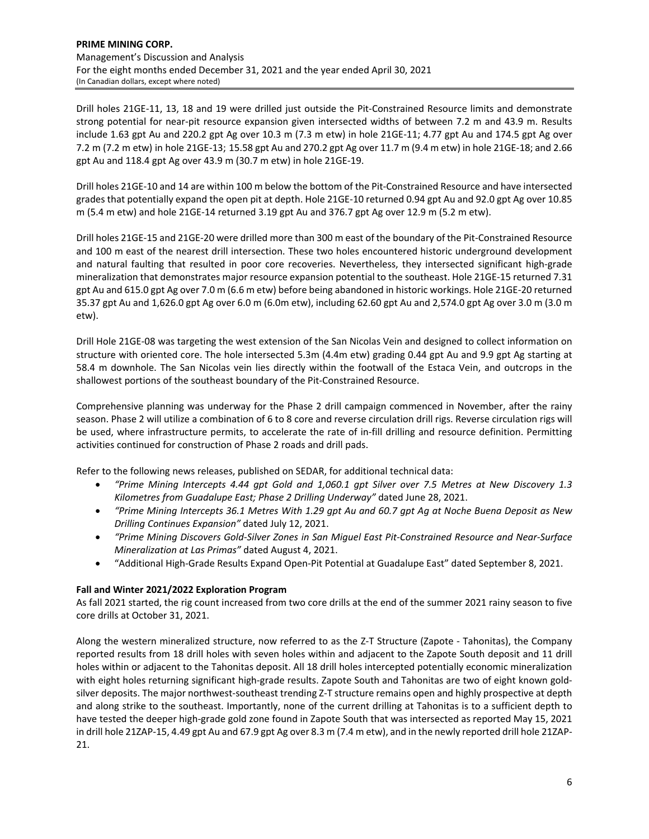Drill holes 21GE‐11, 13, 18 and 19 were drilled just outside the Pit‐Constrained Resource limits and demonstrate strong potential for near‐pit resource expansion given intersected widths of between 7.2 m and 43.9 m. Results include 1.63 gpt Au and 220.2 gpt Ag over 10.3 m (7.3 m etw) in hole 21GE‐11; 4.77 gpt Au and 174.5 gpt Ag over 7.2 m (7.2 m etw) in hole 21GE‐13; 15.58 gpt Au and 270.2 gpt Ag over 11.7 m (9.4 m etw) in hole 21GE‐18; and 2.66 gpt Au and 118.4 gpt Ag over 43.9 m (30.7 m etw) in hole 21GE‐19.

Drill holes 21GE‐10 and 14 are within 100 m below the bottom of the Pit‐Constrained Resource and have intersected grades that potentially expand the open pit at depth. Hole 21GE‐10 returned 0.94 gpt Au and 92.0 gpt Ag over 10.85 m (5.4 m etw) and hole 21GE‐14 returned 3.19 gpt Au and 376.7 gpt Ag over 12.9 m (5.2 m etw).

Drill holes 21GE‐15 and 21GE‐20 were drilled more than 300 m east of the boundary of the Pit‐Constrained Resource and 100 m east of the nearest drill intersection. These two holes encountered historic underground development and natural faulting that resulted in poor core recoveries. Nevertheless, they intersected significant high-grade mineralization that demonstrates major resource expansion potential to the southeast. Hole 21GE‐15 returned 7.31 gpt Au and 615.0 gpt Ag over 7.0 m (6.6 m etw) before being abandoned in historic workings. Hole 21GE‐20 returned 35.37 gpt Au and 1,626.0 gpt Ag over 6.0 m (6.0m etw), including 62.60 gpt Au and 2,574.0 gpt Ag over 3.0 m (3.0 m etw).

Drill Hole 21GE‐08 was targeting the west extension of the San Nicolas Vein and designed to collect information on structure with oriented core. The hole intersected 5.3m (4.4m etw) grading 0.44 gpt Au and 9.9 gpt Ag starting at 58.4 m downhole. The San Nicolas vein lies directly within the footwall of the Estaca Vein, and outcrops in the shallowest portions of the southeast boundary of the Pit‐Constrained Resource.

Comprehensive planning was underway for the Phase 2 drill campaign commenced in November, after the rainy season. Phase 2 will utilize a combination of 6 to 8 core and reverse circulation drill rigs. Reverse circulation rigs will be used, where infrastructure permits, to accelerate the rate of in-fill drilling and resource definition. Permitting activities continued for construction of Phase 2 roads and drill pads.

Refer to the following news releases, published on SEDAR, for additional technical data:

- *"Prime Mining Intercepts 4.44 gpt Gold and 1,060.1 gpt Silver over 7.5 Metres at New Discovery 1.3 Kilometres from Guadalupe East; Phase 2 Drilling Underway"* dated June 28, 2021.
- "Prime Mining Intercepts 36.1 Metres With 1.29 gpt Au and 60.7 gpt Ag at Noche Buena Deposit as New *Drilling Continues Expansion"* dated July 12, 2021.
- "Prime Mining Discovers Gold-Silver Zones in San Miguel East Pit-Constrained Resource and Near-Surface *Mineralization at Las Primas"* dated August 4, 2021.
- "Additional High‐Grade Results Expand Open‐Pit Potential at Guadalupe East" dated September 8, 2021.

# **Fall and Winter 2021/2022 Exploration Program**

As fall 2021 started, the rig count increased from two core drills at the end of the summer 2021 rainy season to five core drills at October 31, 2021.

Along the western mineralized structure, now referred to as the Z‐T Structure (Zapote ‐ Tahonitas), the Company reported results from 18 drill holes with seven holes within and adjacent to the Zapote South deposit and 11 drill holes within or adjacent to the Tahonitas deposit. All 18 drill holes intercepted potentially economic mineralization with eight holes returning significant high‐grade results. Zapote South and Tahonitas are two of eight known gold‐ silver deposits. The major northwest-southeast trending Z-T structure remains open and highly prospective at depth and along strike to the southeast. Importantly, none of the current drilling at Tahonitas is to a sufficient depth to have tested the deeper high-grade gold zone found in Zapote South that was intersected as reported May 15, 2021 in drill hole 21ZAP‐15, 4.49 gpt Au and 67.9 gpt Ag over 8.3 m (7.4 m etw), and in the newly reported drill hole 21ZAP‐ 21.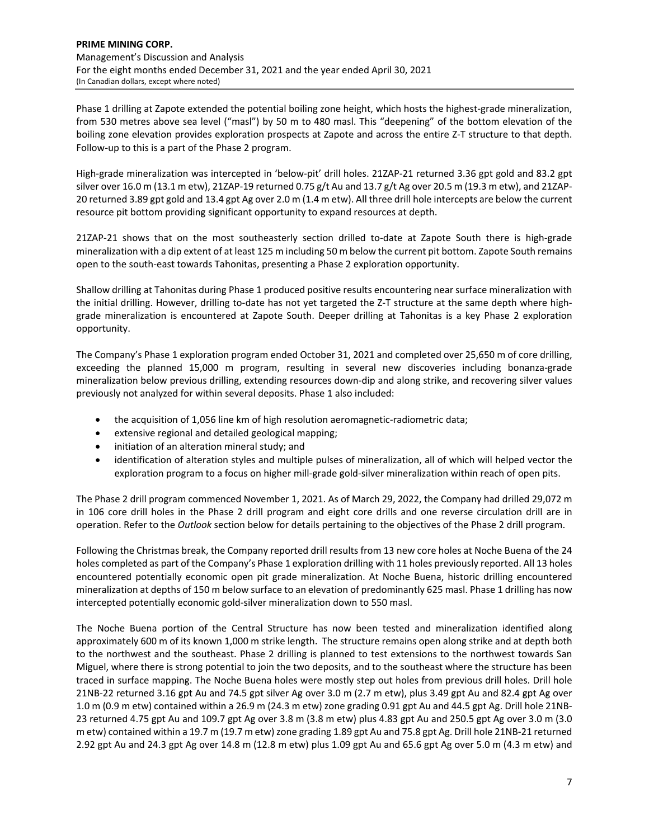Phase 1 drilling at Zapote extended the potential boiling zone height, which hosts the highest-grade mineralization, from 530 metres above sea level ("masl") by 50 m to 480 masl. This "deepening" of the bottom elevation of the boiling zone elevation provides exploration prospects at Zapote and across the entire Z‐T structure to that depth. Follow‐up to this is a part of the Phase 2 program.

High‐grade mineralization was intercepted in 'below‐pit' drill holes. 21ZAP‐21 returned 3.36 gpt gold and 83.2 gpt silver over 16.0 m (13.1 m etw), 21ZAP-19 returned 0.75 g/t Au and 13.7 g/t Ag over 20.5 m (19.3 m etw), and 21ZAP-20 returned 3.89 gpt gold and 13.4 gpt Ag over 2.0 m (1.4 m etw). All three drill hole intercepts are below the current resource pit bottom providing significant opportunity to expand resources at depth.

21ZAP-21 shows that on the most southeasterly section drilled to-date at Zapote South there is high-grade mineralization with a dip extent of at least 125 m including 50 m below the current pit bottom. Zapote South remains open to the south‐east towards Tahonitas, presenting a Phase 2 exploration opportunity.

Shallow drilling at Tahonitas during Phase 1 produced positive results encountering near surface mineralization with the initial drilling. However, drilling to-date has not yet targeted the Z-T structure at the same depth where highgrade mineralization is encountered at Zapote South. Deeper drilling at Tahonitas is a key Phase 2 exploration opportunity.

The Company's Phase 1 exploration program ended October 31, 2021 and completed over 25,650 m of core drilling, exceeding the planned 15,000 m program, resulting in several new discoveries including bonanza-grade mineralization below previous drilling, extending resources down‐dip and along strike, and recovering silver values previously not analyzed for within several deposits. Phase 1 also included:

- the acquisition of 1,056 line km of high resolution aeromagnetic-radiometric data;
- extensive regional and detailed geological mapping;
- initiation of an alteration mineral study; and
- identification of alteration styles and multiple pulses of mineralization, all of which will helped vector the exploration program to a focus on higher mill-grade gold-silver mineralization within reach of open pits.

The Phase 2 drill program commenced November 1, 2021. As of March 29, 2022, the Company had drilled 29,072 m in 106 core drill holes in the Phase 2 drill program and eight core drills and one reverse circulation drill are in operation. Refer to the *Outlook* section below for details pertaining to the objectives of the Phase 2 drill program.

Following the Christmas break, the Company reported drill results from 13 new core holes at Noche Buena of the 24 holes completed as part of the Company's Phase 1 exploration drilling with 11 holes previously reported. All 13 holes encountered potentially economic open pit grade mineralization. At Noche Buena, historic drilling encountered mineralization at depths of 150 m below surface to an elevation of predominantly 625 masl. Phase 1 drilling has now intercepted potentially economic gold‐silver mineralization down to 550 masl.

The Noche Buena portion of the Central Structure has now been tested and mineralization identified along approximately 600 m of its known 1,000 m strike length. The structure remains open along strike and at depth both to the northwest and the southeast. Phase 2 drilling is planned to test extensions to the northwest towards San Miguel, where there is strong potential to join the two deposits, and to the southeast where the structure has been traced in surface mapping. The Noche Buena holes were mostly step out holes from previous drill holes. Drill hole 21NB‐22 returned 3.16 gpt Au and 74.5 gpt silver Ag over 3.0 m (2.7 m etw), plus 3.49 gpt Au and 82.4 gpt Ag over 1.0 m (0.9 m etw) contained within a 26.9 m (24.3 m etw) zone grading 0.91 gpt Au and 44.5 gpt Ag. Drill hole 21NB‐ 23 returned 4.75 gpt Au and 109.7 gpt Ag over 3.8 m (3.8 m etw) plus 4.83 gpt Au and 250.5 gpt Ag over 3.0 m (3.0 m etw) contained within a 19.7 m (19.7 m etw) zone grading 1.89 gpt Au and 75.8 gpt Ag. Drill hole 21NB-21 returned 2.92 gpt Au and 24.3 gpt Ag over 14.8 m (12.8 m etw) plus 1.09 gpt Au and 65.6 gpt Ag over 5.0 m (4.3 m etw) and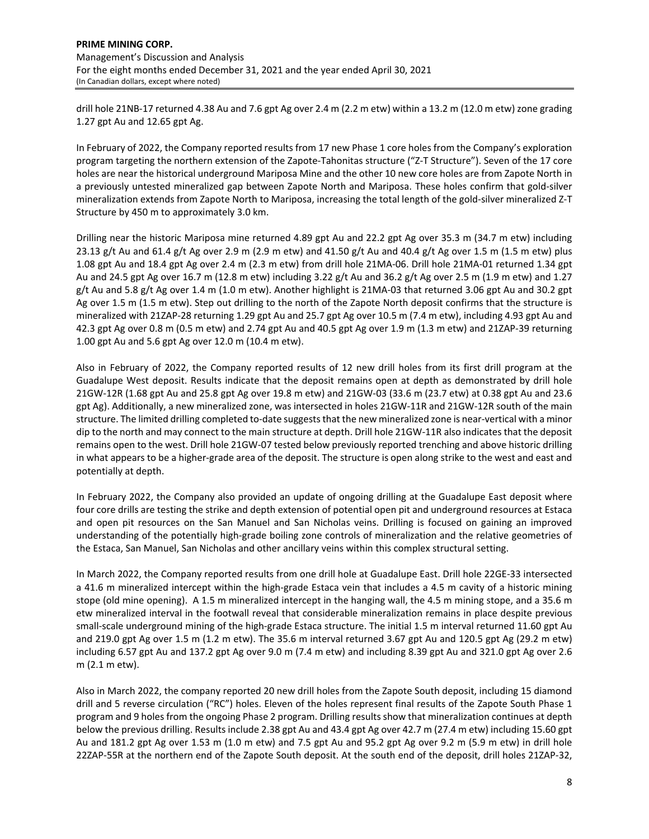drill hole 21NB‐17 returned 4.38 Au and 7.6 gpt Ag over 2.4 m (2.2 m etw) within a 13.2 m (12.0 m etw) zone grading 1.27 gpt Au and 12.65 gpt Ag.

In February of 2022, the Company reported results from 17 new Phase 1 core holes from the Company's exploration program targeting the northern extension of the Zapote‐Tahonitas structure ("Z‐T Structure"). Seven of the 17 core holes are near the historical underground Mariposa Mine and the other 10 new core holes are from Zapote North in a previously untested mineralized gap between Zapote North and Mariposa. These holes confirm that gold‐silver mineralization extends from Zapote North to Mariposa, increasing the total length of the gold‐silver mineralized Z‐T Structure by 450 m to approximately 3.0 km.

Drilling near the historic Mariposa mine returned 4.89 gpt Au and 22.2 gpt Ag over 35.3 m (34.7 m etw) including 23.13 g/t Au and 61.4 g/t Ag over 2.9 m (2.9 m etw) and 41.50 g/t Au and 40.4 g/t Ag over 1.5 m (1.5 m etw) plus 1.08 gpt Au and 18.4 gpt Ag over 2.4 m (2.3 m etw) from drill hole 21MA‐06. Drill hole 21MA‐01 returned 1.34 gpt Au and 24.5 gpt Ag over 16.7 m (12.8 m etw) including 3.22 g/t Au and 36.2 g/t Ag over 2.5 m (1.9 m etw) and 1.27 g/t Au and 5.8 g/t Ag over 1.4 m (1.0 m etw). Another highlight is 21MA‐03 that returned 3.06 gpt Au and 30.2 gpt Ag over 1.5 m (1.5 m etw). Step out drilling to the north of the Zapote North deposit confirms that the structure is mineralized with 21ZAP‐28 returning 1.29 gpt Au and 25.7 gpt Ag over 10.5 m (7.4 m etw), including 4.93 gpt Au and 42.3 gpt Ag over 0.8 m (0.5 m etw) and 2.74 gpt Au and 40.5 gpt Ag over 1.9 m (1.3 m etw) and 21ZAP‐39 returning 1.00 gpt Au and 5.6 gpt Ag over 12.0 m (10.4 m etw).

Also in February of 2022, the Company reported results of 12 new drill holes from its first drill program at the Guadalupe West deposit. Results indicate that the deposit remains open at depth as demonstrated by drill hole 21GW‐12R (1.68 gpt Au and 25.8 gpt Ag over 19.8 m etw) and 21GW‐03 (33.6 m (23.7 etw) at 0.38 gpt Au and 23.6 gpt Ag). Additionally, a new mineralized zone, was intersected in holes 21GW-11R and 21GW-12R south of the main structure. The limited drilling completed to-date suggests that the new mineralized zone is near-vertical with a minor dip to the north and may connect to the main structure at depth. Drill hole 21GW‐11R also indicatesthat the deposit remains open to the west. Drill hole 21GW-07 tested below previously reported trenching and above historic drilling in what appears to be a higher‐grade area of the deposit. The structure is open along strike to the west and east and potentially at depth.

In February 2022, the Company also provided an update of ongoing drilling at the Guadalupe East deposit where four core drills are testing the strike and depth extension of potential open pit and underground resources at Estaca and open pit resources on the San Manuel and San Nicholas veins. Drilling is focused on gaining an improved understanding of the potentially high‐grade boiling zone controls of mineralization and the relative geometries of the Estaca, San Manuel, San Nicholas and other ancillary veins within this complex structural setting.

In March 2022, the Company reported results from one drill hole at Guadalupe East. Drill hole 22GE‐33 intersected a 41.6 m mineralized intercept within the high‐grade Estaca vein that includes a 4.5 m cavity of a historic mining stope (old mine opening). A 1.5 m mineralized intercept in the hanging wall, the 4.5 m mining stope, and a 35.6 m etw mineralized interval in the footwall reveal that considerable mineralization remains in place despite previous small-scale underground mining of the high-grade Estaca structure. The initial 1.5 m interval returned 11.60 gpt Au and 219.0 gpt Ag over 1.5 m (1.2 m etw). The 35.6 m interval returned 3.67 gpt Au and 120.5 gpt Ag (29.2 m etw) including 6.57 gpt Au and 137.2 gpt Ag over 9.0 m (7.4 m etw) and including 8.39 gpt Au and 321.0 gpt Ag over 2.6 m (2.1 m etw).

Also in March 2022, the company reported 20 new drill holes from the Zapote South deposit, including 15 diamond drill and 5 reverse circulation ("RC") holes. Eleven of the holes represent final results of the Zapote South Phase 1 program and 9 holes from the ongoing Phase 2 program. Drilling results show that mineralization continues at depth below the previous drilling. Results include 2.38 gpt Au and 43.4 gpt Ag over 42.7 m (27.4 m etw) including 15.60 gpt Au and 181.2 gpt Ag over 1.53 m (1.0 m etw) and 7.5 gpt Au and 95.2 gpt Ag over 9.2 m (5.9 m etw) in drill hole 22ZAP‐55R at the northern end of the Zapote South deposit. At the south end of the deposit, drill holes 21ZAP‐32,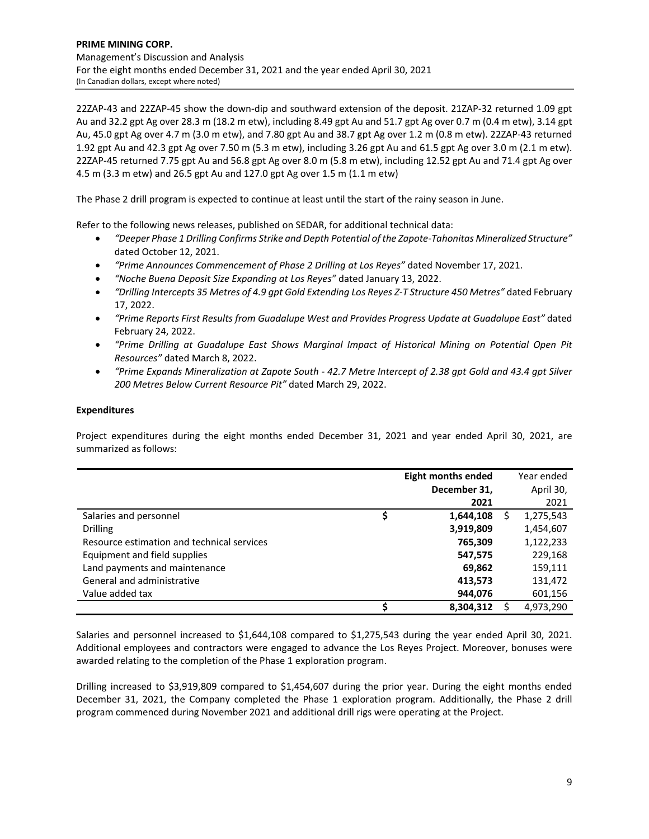22ZAP‐43 and 22ZAP‐45 show the down‐dip and southward extension of the deposit. 21ZAP‐32 returned 1.09 gpt Au and 32.2 gpt Ag over 28.3 m (18.2 m etw), including 8.49 gpt Au and 51.7 gpt Ag over 0.7 m (0.4 m etw), 3.14 gpt Au, 45.0 gpt Ag over 4.7 m (3.0 m etw), and 7.80 gpt Au and 38.7 gpt Ag over 1.2 m (0.8 m etw). 22ZAP‐43 returned 1.92 gpt Au and 42.3 gpt Ag over 7.50 m (5.3 m etw), including 3.26 gpt Au and 61.5 gpt Ag over 3.0 m (2.1 m etw). 22ZAP‐45 returned 7.75 gpt Au and 56.8 gpt Ag over 8.0 m (5.8 m etw), including 12.52 gpt Au and 71.4 gpt Ag over 4.5 m (3.3 m etw) and 26.5 gpt Au and 127.0 gpt Ag over 1.5 m (1.1 m etw)

The Phase 2 drill program is expected to continue at least until the start of the rainy season in June.

Refer to the following news releases, published on SEDAR, for additional technical data:

- *"Deeper Phase 1 Drilling Confirms Strike and Depth Potential of the Zapote‐Tahonitas Mineralized Structure"* dated October 12, 2021.
- *"Prime Announces Commencement of Phase 2 Drilling at Los Reyes"* dated November 17, 2021.
- *"Noche Buena Deposit Size Expanding at Los Reyes"* dated January 13, 2022.
- "Drilling Intercepts 35 Metres of 4.9 gpt Gold Extending Los Reyes Z-T Structure 450 Metres" dated February 17, 2022.
- *"Prime Reports First Results from Guadalupe West and Provides Progress Update at Guadalupe East"* dated February 24, 2022.
- *"Prime Drilling at Guadalupe East Shows Marginal Impact of Historical Mining on Potential Open Pit Resources"* dated March 8, 2022.
- "Prime Expands Mineralization at Zapote South 42.7 Metre Intercept of 2.38 gpt Gold and 43.4 gpt Silver *200 Metres Below Current Resource Pit"* dated March 29, 2022.

# **Expenditures**

Project expenditures during the eight months ended December 31, 2021 and year ended April 30, 2021, are summarized as follows:

|                                            | <b>Eight months ended</b> |   | Year ended |
|--------------------------------------------|---------------------------|---|------------|
|                                            | December 31,              |   | April 30,  |
|                                            | 2021                      |   | 2021       |
| Salaries and personnel                     | 1,644,108                 | S | 1,275,543  |
| <b>Drilling</b>                            | 3,919,809                 |   | 1,454,607  |
| Resource estimation and technical services | 765,309                   |   | 1,122,233  |
| Equipment and field supplies               | 547,575                   |   | 229,168    |
| Land payments and maintenance              | 69,862                    |   | 159,111    |
| General and administrative                 | 413,573                   |   | 131,472    |
| Value added tax                            | 944,076                   |   | 601,156    |
|                                            | 8,304,312                 |   | 4,973,290  |

Salaries and personnel increased to \$1,644,108 compared to \$1,275,543 during the year ended April 30, 2021. Additional employees and contractors were engaged to advance the Los Reyes Project. Moreover, bonuses were awarded relating to the completion of the Phase 1 exploration program.

Drilling increased to \$3,919,809 compared to \$1,454,607 during the prior year. During the eight months ended December 31, 2021, the Company completed the Phase 1 exploration program. Additionally, the Phase 2 drill program commenced during November 2021 and additional drill rigs were operating at the Project.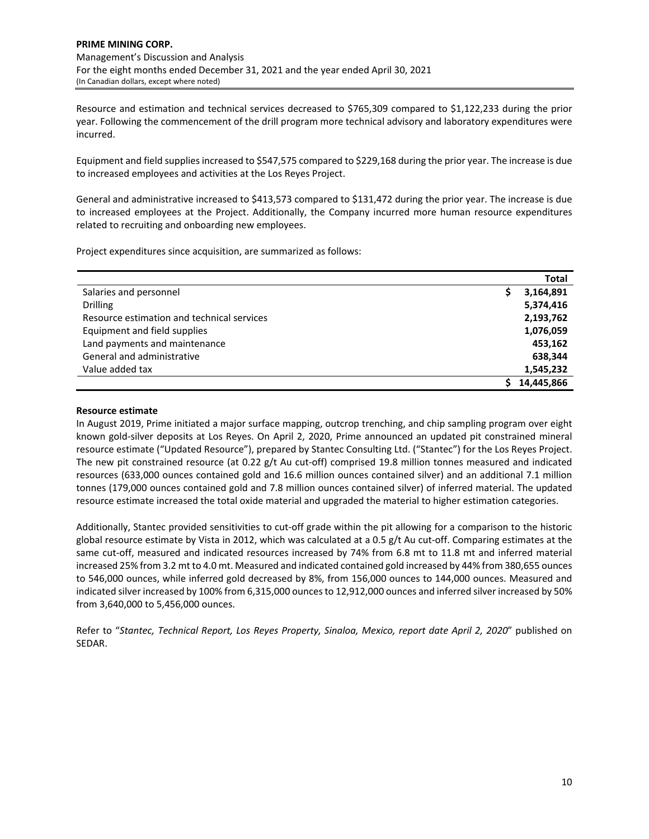Resource and estimation and technical services decreased to \$765,309 compared to \$1,122,233 during the prior year. Following the commencement of the drill program more technical advisory and laboratory expenditures were incurred.

Equipment and field supplies increased to \$547,575 compared to \$229,168 during the prior year. The increase is due to increased employees and activities at the Los Reyes Project.

General and administrative increased to \$413,573 compared to \$131,472 during the prior year. The increase is due to increased employees at the Project. Additionally, the Company incurred more human resource expenditures related to recruiting and onboarding new employees.

Project expenditures since acquisition, are summarized as follows:

|                                            | <b>Total</b> |
|--------------------------------------------|--------------|
| Salaries and personnel                     | 3,164,891    |
| <b>Drilling</b>                            | 5,374,416    |
| Resource estimation and technical services | 2,193,762    |
| Equipment and field supplies               | 1,076,059    |
| Land payments and maintenance              | 453,162      |
| General and administrative                 | 638,344      |
| Value added tax                            | 1,545,232    |
|                                            | 14.445.866   |

## **Resource estimate**

In August 2019, Prime initiated a major surface mapping, outcrop trenching, and chip sampling program over eight known gold‐silver deposits at Los Reyes. On April 2, 2020, Prime announced an updated pit constrained mineral resource estimate ("Updated Resource"), prepared by Stantec Consulting Ltd. ("Stantec") for the Los Reyes Project. The new pit constrained resource (at 0.22 g/t Au cut-off) comprised 19.8 million tonnes measured and indicated resources (633,000 ounces contained gold and 16.6 million ounces contained silver) and an additional 7.1 million tonnes (179,000 ounces contained gold and 7.8 million ounces contained silver) of inferred material. The updated resource estimate increased the total oxide material and upgraded the material to higher estimation categories.

Additionally, Stantec provided sensitivities to cut-off grade within the pit allowing for a comparison to the historic global resource estimate by Vista in 2012, which was calculated at a 0.5 g/t Au cut-off. Comparing estimates at the same cut-off, measured and indicated resources increased by 74% from 6.8 mt to 11.8 mt and inferred material increased 25% from 3.2 mt to 4.0 mt. Measured and indicated contained gold increased by 44% from 380,655 ounces to 546,000 ounces, while inferred gold decreased by 8%, from 156,000 ounces to 144,000 ounces. Measured and indicated silver increased by 100% from 6,315,000 ounces to 12,912,000 ounces and inferred silver increased by 50% from 3,640,000 to 5,456,000 ounces.

Refer to "*Stantec, Technical Report, Los Reyes Property, Sinaloa, Mexico, report date April 2, 2020*" published on SEDAR.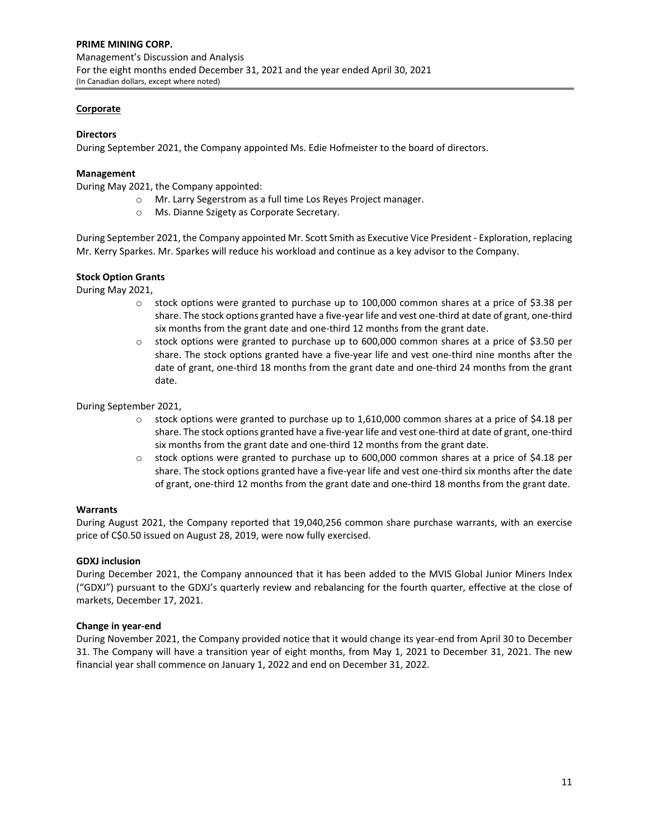# **Corporate**

## **Directors**

During September 2021, the Company appointed Ms. Edie Hofmeister to the board of directors.

## **Management**

During May 2021, the Company appointed:

- o Mr. Larry Segerstrom as a full time Los Reyes Project manager.
- o Ms. Dianne Szigety as Corporate Secretary.

During September 2021, the Company appointed Mr. Scott Smith as Executive Vice President ‐ Exploration, replacing Mr. Kerry Sparkes. Mr. Sparkes will reduce his workload and continue as a key advisor to the Company.

#### **Stock Option Grants**

During May 2021,

- $\circ$  stock options were granted to purchase up to 100,000 common shares at a price of \$3.38 per share. The stock options granted have a five‐year life and vest one‐third at date of grant, one‐third six months from the grant date and one‐third 12 months from the grant date.
- $\circ$  stock options were granted to purchase up to 600,000 common shares at a price of \$3.50 per share. The stock options granted have a five‐year life and vest one‐third nine months after the date of grant, one-third 18 months from the grant date and one-third 24 months from the grant date.

During September 2021,

- $\circ$  stock options were granted to purchase up to 1,610,000 common shares at a price of \$4.18 per share. The stock options granted have a five‐year life and vest one‐third at date of grant, one‐third six months from the grant date and one‐third 12 months from the grant date.
- $\circ$  stock options were granted to purchase up to 600,000 common shares at a price of \$4.18 per share. The stock options granted have a five-year life and vest one-third six months after the date of grant, one-third 12 months from the grant date and one-third 18 months from the grant date.

#### **Warrants**

During August 2021, the Company reported that 19,040,256 common share purchase warrants, with an exercise price of C\$0.50 issued on August 28, 2019, were now fully exercised.

#### **GDXJ inclusion**

During December 2021, the Company announced that it has been added to the MVIS Global Junior Miners Index ("GDXJ") pursuant to the GDXJ's quarterly review and rebalancing for the fourth quarter, effective at the close of markets, December 17, 2021.

#### **Change in year‐end**

During November 2021, the Company provided notice that it would change its year‐end from April 30 to December 31. The Company will have a transition year of eight months, from May 1, 2021 to December 31, 2021. The new financial year shall commence on January 1, 2022 and end on December 31, 2022.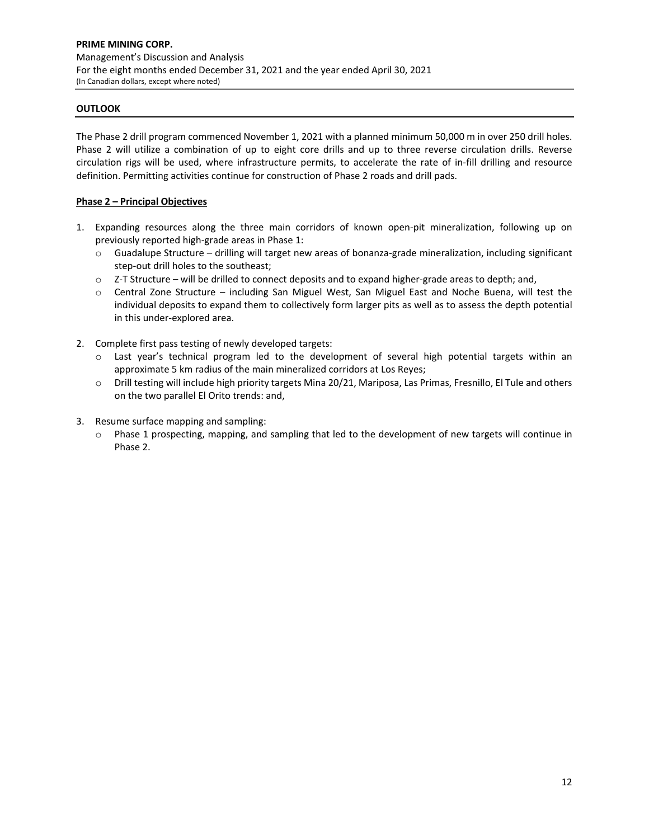# **OUTLOOK**

The Phase 2 drill program commenced November 1, 2021 with a planned minimum 50,000 m in over 250 drill holes. Phase 2 will utilize a combination of up to eight core drills and up to three reverse circulation drills. Reverse circulation rigs will be used, where infrastructure permits, to accelerate the rate of in‐fill drilling and resource definition. Permitting activities continue for construction of Phase 2 roads and drill pads.

# **Phase 2 – Principal Objectives**

- 1. Expanding resources along the three main corridors of known open-pit mineralization, following up on previously reported high-grade areas in Phase 1:
	- o Guadalupe Structure drilling will target new areas of bonanza‐grade mineralization, including significant step-out drill holes to the southeast;
	- o Z‐T Structure will be drilled to connect deposits and to expand higher‐grade areas to depth; and,
	- o Central Zone Structure including San Miguel West, San Miguel East and Noche Buena, will test the individual deposits to expand them to collectively form larger pits as well as to assess the depth potential in this under‐explored area.
- 2. Complete first pass testing of newly developed targets:
	- o Last year's technical program led to the development of several high potential targets within an approximate 5 km radius of the main mineralized corridors at Los Reyes;
	- o Drill testing will include high priority targets Mina 20/21, Mariposa, Las Primas, Fresnillo, El Tule and others on the two parallel El Orito trends: and,
- 3. Resume surface mapping and sampling:
	- o Phase 1 prospecting, mapping, and sampling that led to the development of new targets will continue in Phase 2.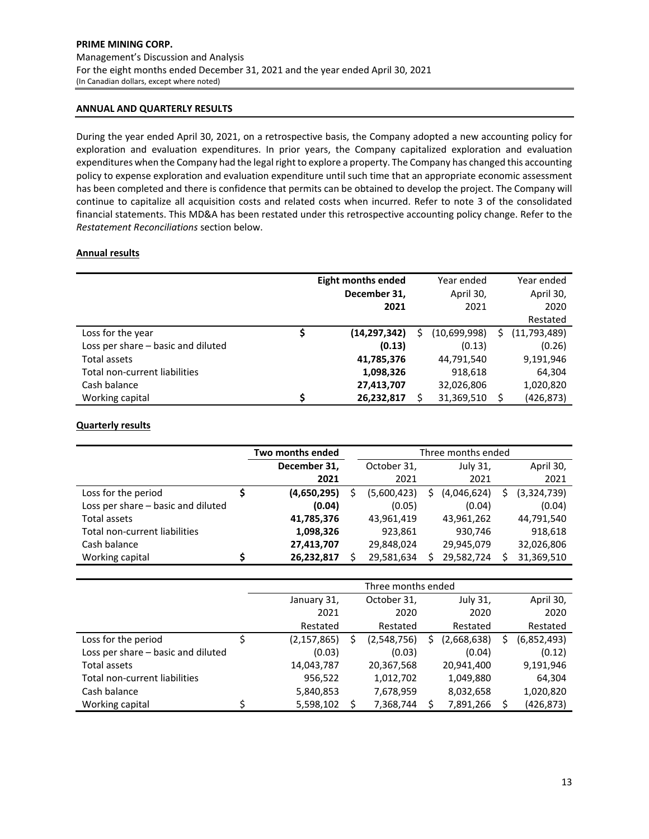#### **ANNUAL AND QUARTERLY RESULTS**

During the year ended April 30, 2021, on a retrospective basis, the Company adopted a new accounting policy for exploration and evaluation expenditures. In prior years, the Company capitalized exploration and evaluation expenditures when the Company had the legal right to explore a property. The Company has changed this accounting policy to expense exploration and evaluation expenditure until such time that an appropriate economic assessment has been completed and there is confidence that permits can be obtained to develop the project. The Company will continue to capitalize all acquisition costs and related costs when incurred. Refer to note 3 of the consolidated financial statements. This MD&A has been restated under this retrospective accounting policy change. Refer to the *Restatement Reconciliations* section below.

#### **Annual results**

|                                    | <b>Eight months ended</b> |   | Year ended   |    | Year ended     |
|------------------------------------|---------------------------|---|--------------|----|----------------|
|                                    | December 31,              |   | April 30,    |    | April 30,      |
|                                    | 2021                      |   | 2021         |    | 2020           |
|                                    |                           |   |              |    | Restated       |
| \$<br>Loss for the year            | (14, 297, 342)            | S | (10,699,998) | S. | (11, 793, 489) |
| Loss per share – basic and diluted | (0.13)                    |   | (0.13)       |    | (0.26)         |
| Total assets                       | 41,785,376                |   | 44,791,540   |    | 9,191,946      |
| Total non-current liabilities      | 1,098,326                 |   | 918,618      |    | 64,304         |
| Cash balance                       | 27,413,707                |   | 32,026,806   |    | 1,020,820      |
| Working capital                    | 26,232,817                |   | 31,369,510   | ς  | (426, 873)     |

# **Quarterly results**

|                                      | Three months ended<br>Two months ended |  |             |   |             |  |             |
|--------------------------------------|----------------------------------------|--|-------------|---|-------------|--|-------------|
|                                      | December 31,                           |  | October 31, |   | July 31,    |  | April 30,   |
|                                      | 2021                                   |  | 2021        |   | 2021        |  | 2021        |
| Loss for the period                  | (4,650,295)                            |  | (5,600,423) | Ś | (4,046,624) |  | (3,324,739) |
| Loss per share - basic and diluted   | (0.04)                                 |  | (0.05)      |   | (0.04)      |  | (0.04)      |
| Total assets                         | 41,785,376                             |  | 43,961,419  |   | 43,961,262  |  | 44,791,540  |
| <b>Total non-current liabilities</b> | 1,098,326                              |  | 923,861     |   | 930,746     |  | 918,618     |
| Cash balance                         | 27,413,707                             |  | 29,848,024  |   | 29,945,079  |  | 32,026,806  |
| Working capital                      | 26,232,817                             |  | 29,581,634  |   | 29,582,724  |  | 31,369,510  |

|                                    | Three months ended |  |             |   |             |  |             |  |
|------------------------------------|--------------------|--|-------------|---|-------------|--|-------------|--|
|                                    | January 31,        |  | October 31, |   | July 31,    |  | April 30,   |  |
|                                    | 2021               |  | 2020        |   | 2020        |  | 2020        |  |
|                                    | Restated           |  | Restated    |   | Restated    |  | Restated    |  |
| Loss for the period                | (2, 157, 865)      |  | (2,548,756) | Ś | (2,668,638) |  | (6,852,493) |  |
| Loss per share - basic and diluted | (0.03)             |  | (0.03)      |   | (0.04)      |  | (0.12)      |  |
| Total assets                       | 14,043,787         |  | 20,367,568  |   | 20,941,400  |  | 9,191,946   |  |
| Total non-current liabilities      | 956,522            |  | 1,012,702   |   | 1,049,880   |  | 64,304      |  |
| Cash balance                       | 5,840,853          |  | 7,678,959   |   | 8,032,658   |  | 1,020,820   |  |
| Working capital                    | 5,598,102          |  | 7,368,744   |   | 7,891,266   |  | (426, 873)  |  |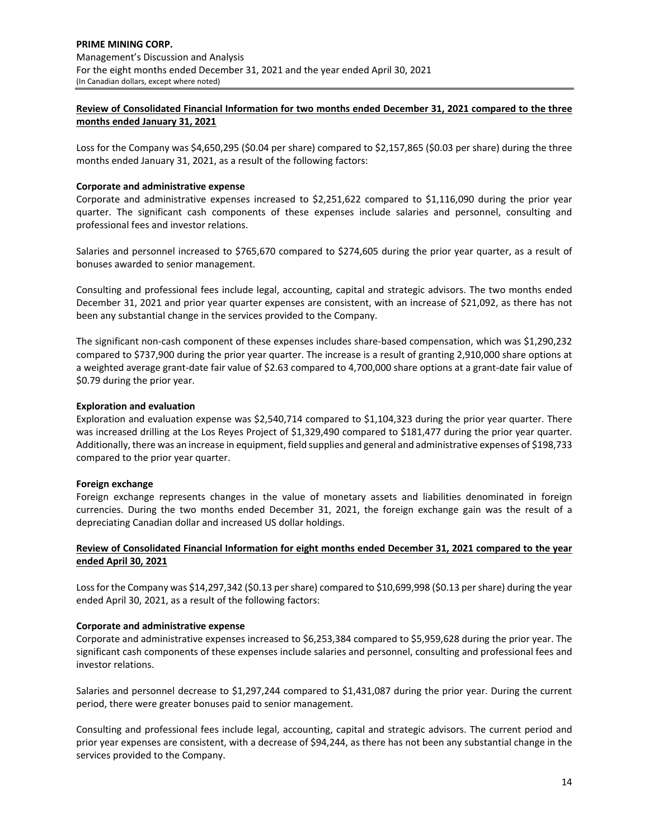# **Review of Consolidated Financial Information for two months ended December 31, 2021 compared to the three months ended January 31, 2021**

Loss for the Company was \$4,650,295 (\$0.04 per share) compared to \$2,157,865 (\$0.03 per share) during the three months ended January 31, 2021, as a result of the following factors:

# **Corporate and administrative expense**

Corporate and administrative expenses increased to \$2,251,622 compared to \$1,116,090 during the prior year quarter. The significant cash components of these expenses include salaries and personnel, consulting and professional fees and investor relations.

Salaries and personnel increased to \$765,670 compared to \$274,605 during the prior year quarter, as a result of bonuses awarded to senior management.

Consulting and professional fees include legal, accounting, capital and strategic advisors. The two months ended December 31, 2021 and prior year quarter expenses are consistent, with an increase of \$21,092, as there has not been any substantial change in the services provided to the Company.

The significant non‐cash component of these expenses includes share‐based compensation, which was \$1,290,232 compared to \$737,900 during the prior year quarter. The increase is a result of granting 2,910,000 share options at a weighted average grant-date fair value of \$2.63 compared to 4,700,000 share options at a grant-date fair value of \$0.79 during the prior year.

## **Exploration and evaluation**

Exploration and evaluation expense was \$2,540,714 compared to \$1,104,323 during the prior year quarter. There was increased drilling at the Los Reyes Project of \$1,329,490 compared to \$181,477 during the prior year quarter. Additionally, there was an increase in equipment, field supplies and general and administrative expenses of \$198,733 compared to the prior year quarter.

# **Foreign exchange**

Foreign exchange represents changes in the value of monetary assets and liabilities denominated in foreign currencies. During the two months ended December 31, 2021, the foreign exchange gain was the result of a depreciating Canadian dollar and increased US dollar holdings.

# **Review of Consolidated Financial Information for eight months ended December 31, 2021 compared to the year ended April 30, 2021**

Loss for the Company was \$14,297,342 (\$0.13 per share) compared to \$10,699,998 (\$0.13 per share) during the year ended April 30, 2021, as a result of the following factors:

#### **Corporate and administrative expense**

Corporate and administrative expenses increased to \$6,253,384 compared to \$5,959,628 during the prior year. The significant cash components of these expenses include salaries and personnel, consulting and professional fees and investor relations.

Salaries and personnel decrease to \$1,297,244 compared to \$1,431,087 during the prior year. During the current period, there were greater bonuses paid to senior management.

Consulting and professional fees include legal, accounting, capital and strategic advisors. The current period and prior year expenses are consistent, with a decrease of \$94,244, as there has not been any substantial change in the services provided to the Company.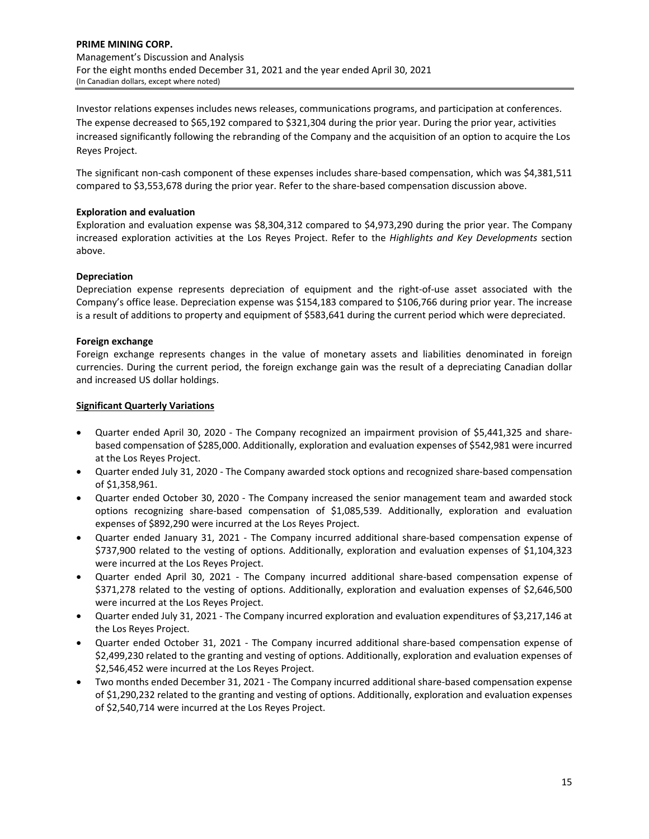Investor relations expenses includes news releases, communications programs, and participation at conferences. The expense decreased to \$65,192 compared to \$321,304 during the prior year. During the prior year, activities increased significantly following the rebranding of the Company and the acquisition of an option to acquire the Los Reyes Project.

The significant non-cash component of these expenses includes share-based compensation, which was \$4,381,511 compared to \$3,553,678 during the prior year. Refer to the share-based compensation discussion above.

# **Exploration and evaluation**

Exploration and evaluation expense was \$8,304,312 compared to \$4,973,290 during the prior year. The Company increased exploration activities at the Los Reyes Project. Refer to the *Highlights and Key Developments* section above.

## **Depreciation**

Depreciation expense represents depreciation of equipment and the right-of-use asset associated with the Company's office lease. Depreciation expense was \$154,183 compared to \$106,766 during prior year. The increase is a result of additions to property and equipment of \$583,641 during the current period which were depreciated.

## **Foreign exchange**

Foreign exchange represents changes in the value of monetary assets and liabilities denominated in foreign currencies. During the current period, the foreign exchange gain was the result of a depreciating Canadian dollar and increased US dollar holdings.

## **Significant Quarterly Variations**

- Quarter ended April 30, 2020 The Company recognized an impairment provision of \$5,441,325 and sharebased compensation of \$285,000. Additionally, exploration and evaluation expenses of \$542,981 were incurred at the Los Reyes Project.
- Quarter ended July 31, 2020 The Company awarded stock options and recognized share-based compensation of \$1,358,961.
- Quarter ended October 30, 2020 ‐ The Company increased the senior management team and awarded stock options recognizing share‐based compensation of \$1,085,539. Additionally, exploration and evaluation expenses of \$892,290 were incurred at the Los Reyes Project.
- Quarter ended January 31, 2021 The Company incurred additional share-based compensation expense of \$737,900 related to the vesting of options. Additionally, exploration and evaluation expenses of \$1,104,323 were incurred at the Los Reyes Project.
- Quarter ended April 30, 2021 The Company incurred additional share-based compensation expense of \$371,278 related to the vesting of options. Additionally, exploration and evaluation expenses of \$2,646,500 were incurred at the Los Reyes Project.
- Quarter ended July 31, 2021 ‐ The Company incurred exploration and evaluation expenditures of \$3,217,146 at the Los Reyes Project.
- Quarter ended October 31, 2021 The Company incurred additional share-based compensation expense of \$2,499,230 related to the granting and vesting of options. Additionally, exploration and evaluation expenses of \$2,546,452 were incurred at the Los Reyes Project.
- Two months ended December 31, 2021 ‐ The Company incurred additional share‐based compensation expense of \$1,290,232 related to the granting and vesting of options. Additionally, exploration and evaluation expenses of \$2,540,714 were incurred at the Los Reyes Project.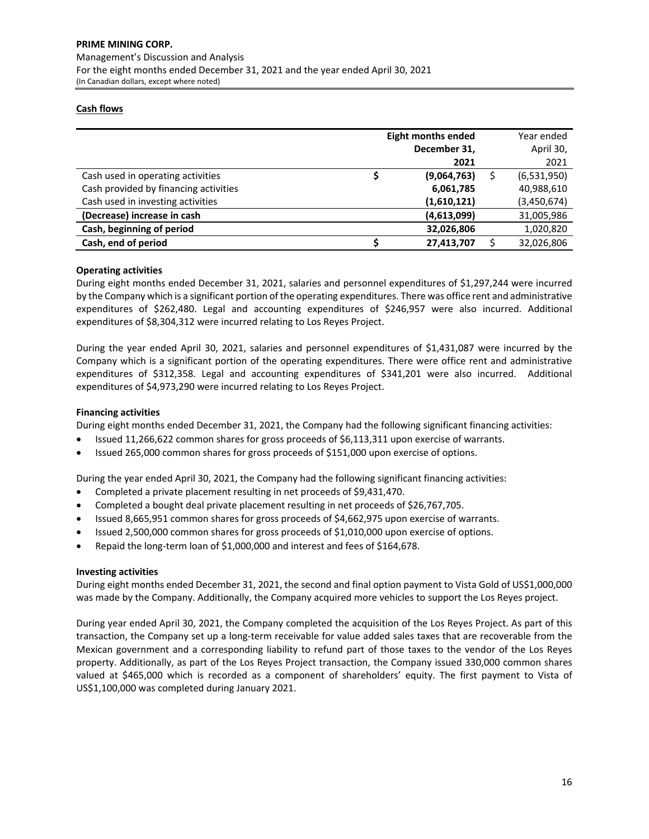## **Cash flows**

|                                       | <b>Eight months ended</b><br>December 31,<br>2021 | Year ended<br>April 30,<br>2021 |
|---------------------------------------|---------------------------------------------------|---------------------------------|
| Cash used in operating activities     | (9,064,763)                                       | (6,531,950)                     |
| Cash provided by financing activities | 6,061,785                                         | 40,988,610                      |
| Cash used in investing activities     | (1,610,121)                                       | (3,450,674)                     |
| (Decrease) increase in cash           | (4,613,099)                                       | 31,005,986                      |
| Cash, beginning of period             | 32,026,806                                        | 1,020,820                       |
| Cash, end of period                   | 27,413,707                                        | 32,026,806                      |

## **Operating activities**

During eight months ended December 31, 2021, salaries and personnel expenditures of \$1,297,244 were incurred by the Company which is a significant portion of the operating expenditures. There was office rent and administrative expenditures of \$262,480. Legal and accounting expenditures of \$246,957 were also incurred. Additional expenditures of \$8,304,312 were incurred relating to Los Reyes Project.

During the year ended April 30, 2021, salaries and personnel expenditures of \$1,431,087 were incurred by the Company which is a significant portion of the operating expenditures. There were office rent and administrative expenditures of \$312,358. Legal and accounting expenditures of \$341,201 were also incurred. Additional expenditures of \$4,973,290 were incurred relating to Los Reyes Project.

## **Financing activities**

During eight months ended December 31, 2021, the Company had the following significant financing activities:

- Issued 11,266,622 common shares for gross proceeds of \$6,113,311 upon exercise of warrants.
- Issued 265,000 common shares for gross proceeds of \$151,000 upon exercise of options.

During the year ended April 30, 2021, the Company had the following significant financing activities:

- Completed a private placement resulting in net proceeds of \$9,431,470.
- Completed a bought deal private placement resulting in net proceeds of \$26,767,705.
- Issued 8,665,951 common shares for gross proceeds of \$4,662,975 upon exercise of warrants.
- Issued 2,500,000 common shares for gross proceeds of \$1,010,000 upon exercise of options.
- Repaid the long‐term loan of \$1,000,000 and interest and fees of \$164,678.

#### **Investing activities**

During eight months ended December 31, 2021, the second and final option payment to Vista Gold of US\$1,000,000 was made by the Company. Additionally, the Company acquired more vehicles to support the Los Reyes project.

During year ended April 30, 2021, the Company completed the acquisition of the Los Reyes Project. As part of this transaction, the Company set up a long‐term receivable for value added sales taxes that are recoverable from the Mexican government and a corresponding liability to refund part of those taxes to the vendor of the Los Reyes property. Additionally, as part of the Los Reyes Project transaction, the Company issued 330,000 common shares valued at \$465,000 which is recorded as a component of shareholders' equity. The first payment to Vista of US\$1,100,000 was completed during January 2021.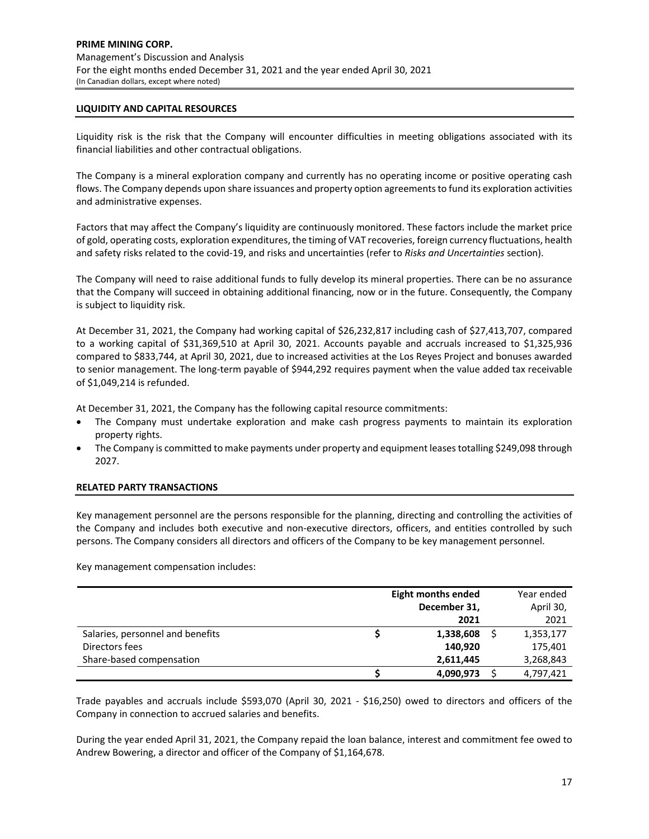#### **LIQUIDITY AND CAPITAL RESOURCES**

Liquidity risk is the risk that the Company will encounter difficulties in meeting obligations associated with its financial liabilities and other contractual obligations.

The Company is a mineral exploration company and currently has no operating income or positive operating cash flows. The Company depends upon share issuances and property option agreementsto fund its exploration activities and administrative expenses.

Factors that may affect the Company's liquidity are continuously monitored. These factors include the market price of gold, operating costs, exploration expenditures, the timing of VAT recoveries, foreign currency fluctuations, health and safety risks related to the covid‐19, and risks and uncertainties (refer to *Risks and Uncertainties* section).

The Company will need to raise additional funds to fully develop its mineral properties. There can be no assurance that the Company will succeed in obtaining additional financing, now or in the future. Consequently, the Company is subject to liquidity risk.

At December 31, 2021, the Company had working capital of \$26,232,817 including cash of \$27,413,707, compared to a working capital of \$31,369,510 at April 30, 2021. Accounts payable and accruals increased to \$1,325,936 compared to \$833,744, at April 30, 2021, due to increased activities at the Los Reyes Project and bonuses awarded to senior management. The long-term payable of \$944,292 requires payment when the value added tax receivable of \$1,049,214 is refunded.

At December 31, 2021, the Company has the following capital resource commitments:

- The Company must undertake exploration and make cash progress payments to maintain its exploration property rights.
- The Company is committed to make payments under property and equipment leasestotalling \$249,098 through 2027.

#### **RELATED PARTY TRANSACTIONS**

Key management personnel are the persons responsible for the planning, directing and controlling the activities of the Company and includes both executive and non‐executive directors, officers, and entities controlled by such persons. The Company considers all directors and officers of the Company to be key management personnel.

Key management compensation includes:

|                                  | <b>Eight months ended</b> | Year ended |
|----------------------------------|---------------------------|------------|
|                                  | December 31,              | April 30,  |
|                                  | 2021                      | 2021       |
| Salaries, personnel and benefits | 1,338,608                 | 1,353,177  |
| Directors fees                   | 140,920                   | 175,401    |
| Share-based compensation         | 2.611.445                 | 3,268,843  |
|                                  | 4,090,973                 | 4,797,421  |

Trade payables and accruals include \$593,070 (April 30, 2021 ‐ \$16,250) owed to directors and officers of the Company in connection to accrued salaries and benefits.

During the year ended April 31, 2021, the Company repaid the loan balance, interest and commitment fee owed to Andrew Bowering, a director and officer of the Company of \$1,164,678.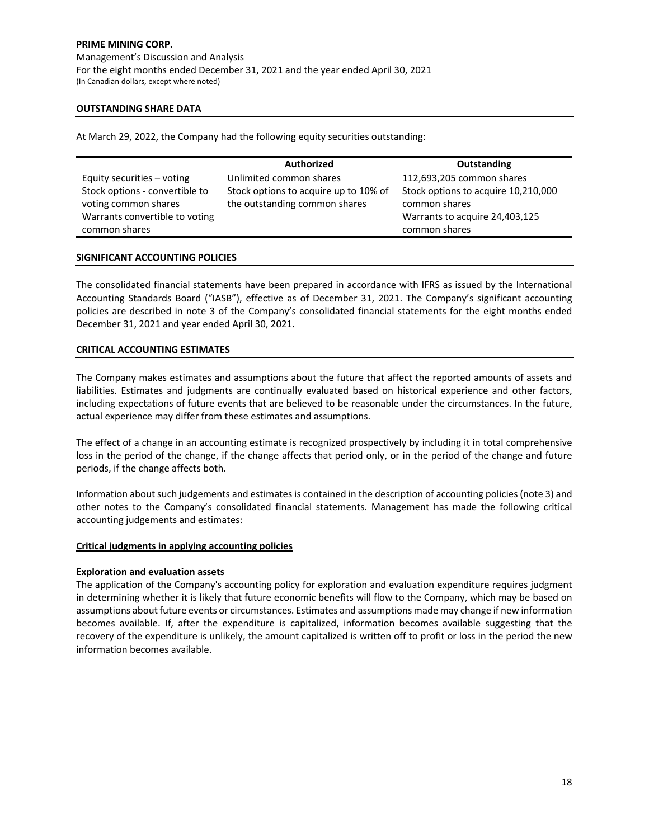## **OUTSTANDING SHARE DATA**

At March 29, 2022, the Company had the following equity securities outstanding:

|                                                                                          | <b>Authorized</b>                                                      | Outstanding                                                                            |
|------------------------------------------------------------------------------------------|------------------------------------------------------------------------|----------------------------------------------------------------------------------------|
| Equity securities - voting                                                               | Unlimited common shares                                                | 112,693,205 common shares                                                              |
| Stock options - convertible to<br>voting common shares<br>Warrants convertible to voting | Stock options to acquire up to 10% of<br>the outstanding common shares | Stock options to acquire 10,210,000<br>common shares<br>Warrants to acquire 24,403,125 |
| common shares                                                                            |                                                                        | common shares                                                                          |

# **SIGNIFICANT ACCOUNTING POLICIES**

The consolidated financial statements have been prepared in accordance with IFRS as issued by the International Accounting Standards Board ("IASB"), effective as of December 31, 2021. The Company's significant accounting policies are described in note 3 of the Company's consolidated financial statements for the eight months ended December 31, 2021 and year ended April 30, 2021.

## **CRITICAL ACCOUNTING ESTIMATES**

The Company makes estimates and assumptions about the future that affect the reported amounts of assets and liabilities. Estimates and judgments are continually evaluated based on historical experience and other factors, including expectations of future events that are believed to be reasonable under the circumstances. In the future, actual experience may differ from these estimates and assumptions.

The effect of a change in an accounting estimate is recognized prospectively by including it in total comprehensive loss in the period of the change, if the change affects that period only, or in the period of the change and future periods, if the change affects both.

Information about such judgements and estimatesis contained in the description of accounting policies(note 3) and other notes to the Company's consolidated financial statements. Management has made the following critical accounting judgements and estimates:

#### **Critical judgments in applying accounting policies**

#### **Exploration and evaluation assets**

The application of the Company's accounting policy for exploration and evaluation expenditure requires judgment in determining whether it is likely that future economic benefits will flow to the Company, which may be based on assumptions about future events or circumstances. Estimates and assumptions made may change if new information becomes available. If, after the expenditure is capitalized, information becomes available suggesting that the recovery of the expenditure is unlikely, the amount capitalized is written off to profit or loss in the period the new information becomes available.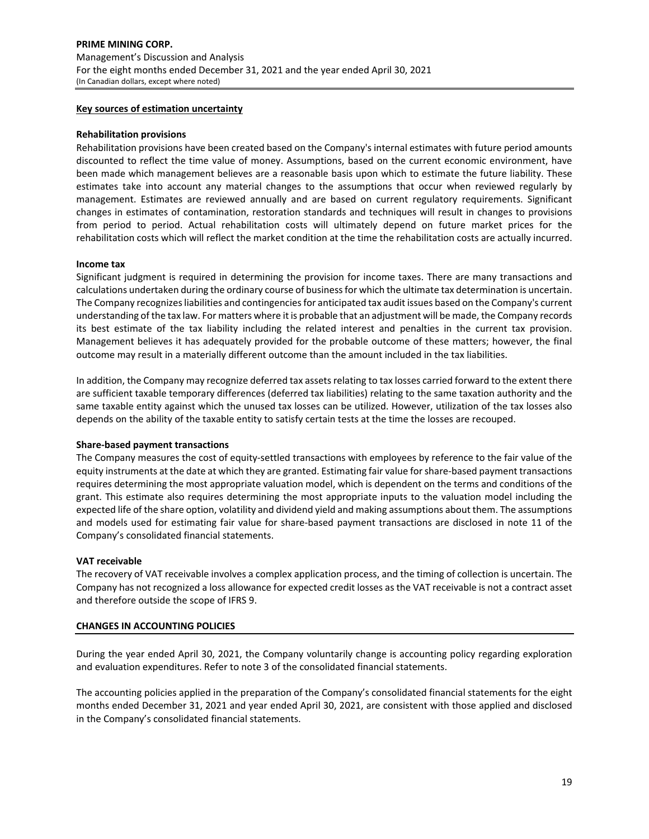## **Key sources of estimation uncertainty**

#### **Rehabilitation provisions**

Rehabilitation provisions have been created based on the Company's internal estimates with future period amounts discounted to reflect the time value of money. Assumptions, based on the current economic environment, have been made which management believes are a reasonable basis upon which to estimate the future liability. These estimates take into account any material changes to the assumptions that occur when reviewed regularly by management. Estimates are reviewed annually and are based on current regulatory requirements. Significant changes in estimates of contamination, restoration standards and techniques will result in changes to provisions from period to period. Actual rehabilitation costs will ultimately depend on future market prices for the rehabilitation costs which will reflect the market condition at the time the rehabilitation costs are actually incurred.

#### **Income tax**

Significant judgment is required in determining the provision for income taxes. There are many transactions and calculations undertaken during the ordinary course of businessfor which the ultimate tax determination is uncertain. The Company recognizesliabilities and contingenciesfor anticipated tax audit issues based on the Company's current understanding of the tax law. For matters where it is probable that an adjustment will be made, the Company records its best estimate of the tax liability including the related interest and penalties in the current tax provision. Management believes it has adequately provided for the probable outcome of these matters; however, the final outcome may result in a materially different outcome than the amount included in the tax liabilities.

In addition, the Company may recognize deferred tax assets relating to tax losses carried forward to the extent there are sufficient taxable temporary differences (deferred tax liabilities) relating to the same taxation authority and the same taxable entity against which the unused tax losses can be utilized. However, utilization of the tax losses also depends on the ability of the taxable entity to satisfy certain tests at the time the losses are recouped.

#### **Share‐based payment transactions**

The Company measures the cost of equity‐settled transactions with employees by reference to the fair value of the equity instruments at the date at which they are granted. Estimating fair value forshare‐based payment transactions requires determining the most appropriate valuation model, which is dependent on the terms and conditions of the grant. This estimate also requires determining the most appropriate inputs to the valuation model including the expected life of the share option, volatility and dividend yield and making assumptions about them. The assumptions and models used for estimating fair value for share‐based payment transactions are disclosed in note 11 of the Company's consolidated financial statements.

#### **VAT receivable**

The recovery of VAT receivable involves a complex application process, and the timing of collection is uncertain. The Company has not recognized a loss allowance for expected credit losses as the VAT receivable is not a contract asset and therefore outside the scope of IFRS 9.

#### **CHANGES IN ACCOUNTING POLICIES**

During the year ended April 30, 2021, the Company voluntarily change is accounting policy regarding exploration and evaluation expenditures. Refer to note 3 of the consolidated financial statements.

The accounting policies applied in the preparation of the Company's consolidated financial statements for the eight months ended December 31, 2021 and year ended April 30, 2021, are consistent with those applied and disclosed in the Company's consolidated financial statements.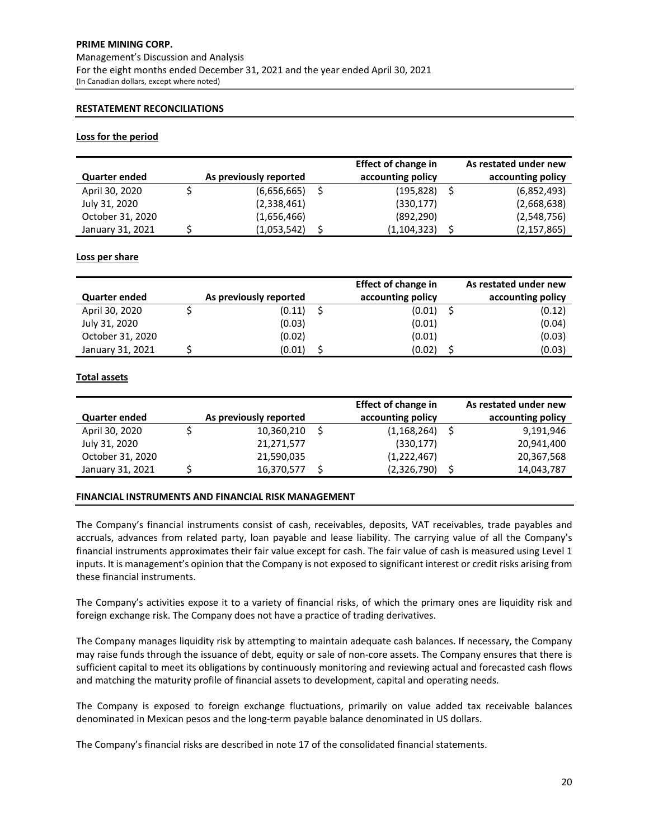# **PRIME MINING CORP.** Management's Discussion and Analysis For the eight months ended December 31, 2021 and the year ended April 30, 2021 (In Canadian dollars, except where noted)

# **RESTATEMENT RECONCILIATIONS**

## **Loss for the period**

|                      |                        | <b>Effect of change in</b> | As restated under new |
|----------------------|------------------------|----------------------------|-----------------------|
| <b>Quarter ended</b> | As previously reported | accounting policy          | accounting policy     |
| April 30, 2020       | (6,656,665)            | (195,828)                  | (6,852,493)           |
| July 31, 2020        | (2,338,461)            | (330, 177)                 | (2,668,638)           |
| October 31, 2020     | (1,656,466)            | (892, 290)                 | (2,548,756)           |
| January 31, 2021     | (1,053,542)            | (1, 104, 323)              | (2, 157, 865)         |

## **Loss per share**

|                      |                        | <b>Effect of change in</b> | As restated under new |
|----------------------|------------------------|----------------------------|-----------------------|
| <b>Quarter ended</b> | As previously reported | accounting policy          | accounting policy     |
| April 30, 2020       | (0.11)                 | (0.01)                     | (0.12)                |
| July 31, 2020        | (0.03)                 | (0.01)                     | (0.04)                |
| October 31, 2020     | (0.02)                 | (0.01)                     | (0.03)                |
| January 31, 2021     | (0.01)                 | (0.02)                     | (0.03)                |

## **Total assets**

|                      |  | <b>Effect of change in</b> | As restated under new |                   |                   |
|----------------------|--|----------------------------|-----------------------|-------------------|-------------------|
| <b>Quarter ended</b> |  | As previously reported     |                       | accounting policy | accounting policy |
| April 30, 2020       |  | 10,360,210                 |                       | (1, 168, 264)     | 9,191,946         |
| July 31, 2020        |  | 21,271,577                 |                       | (330, 177)        | 20,941,400        |
| October 31, 2020     |  | 21,590,035                 |                       | (1, 222, 467)     | 20,367,568        |
| January 31, 2021     |  | 16,370,577                 |                       | (2,326,790)       | 14,043,787        |

#### **FINANCIAL INSTRUMENTS AND FINANCIAL RISK MANAGEMENT**

The Company's financial instruments consist of cash, receivables, deposits, VAT receivables, trade payables and accruals, advances from related party, loan payable and lease liability. The carrying value of all the Company's financial instruments approximates their fair value except for cash. The fair value of cash is measured using Level 1 inputs. It is management's opinion that the Company is not exposed to significant interest or credit risks arising from these financial instruments.

The Company's activities expose it to a variety of financial risks, of which the primary ones are liquidity risk and foreign exchange risk. The Company does not have a practice of trading derivatives.

The Company manages liquidity risk by attempting to maintain adequate cash balances. If necessary, the Company may raise funds through the issuance of debt, equity or sale of non-core assets. The Company ensures that there is sufficient capital to meet its obligations by continuously monitoring and reviewing actual and forecasted cash flows and matching the maturity profile of financial assets to development, capital and operating needs.

The Company is exposed to foreign exchange fluctuations, primarily on value added tax receivable balances denominated in Mexican pesos and the long‐term payable balance denominated in US dollars.

The Company's financial risks are described in note 17 of the consolidated financial statements.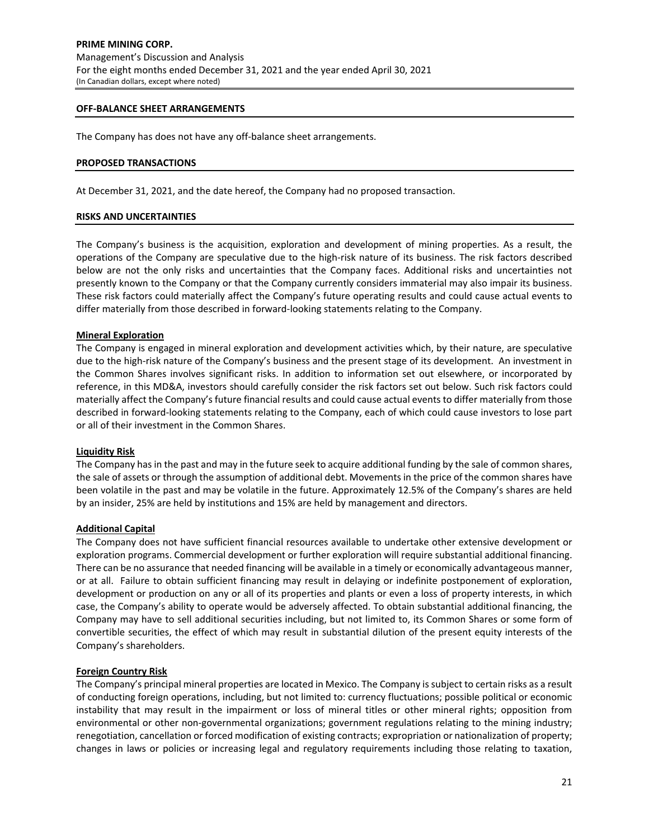#### **OFF‐BALANCE SHEET ARRANGEMENTS**

The Company has does not have any off-balance sheet arrangements.

#### **PROPOSED TRANSACTIONS**

At December 31, 2021, and the date hereof, the Company had no proposed transaction.

#### **RISKS AND UNCERTAINTIES**

The Company's business is the acquisition, exploration and development of mining properties. As a result, the operations of the Company are speculative due to the high‐risk nature of its business. The risk factors described below are not the only risks and uncertainties that the Company faces. Additional risks and uncertainties not presently known to the Company or that the Company currently considers immaterial may also impair its business. These risk factors could materially affect the Company's future operating results and could cause actual events to differ materially from those described in forward‐looking statements relating to the Company.

#### **Mineral Exploration**

The Company is engaged in mineral exploration and development activities which, by their nature, are speculative due to the high-risk nature of the Company's business and the present stage of its development. An investment in the Common Shares involves significant risks. In addition to information set out elsewhere, or incorporated by reference, in this MD&A, investors should carefully consider the risk factors set out below. Such risk factors could materially affect the Company's future financial results and could cause actual events to differ materially from those described in forward‐looking statements relating to the Company, each of which could cause investors to lose part or all of their investment in the Common Shares.

#### **Liquidity Risk**

The Company has in the past and may in the future seek to acquire additional funding by the sale of common shares, the sale of assets or through the assumption of additional debt. Movements in the price of the common shares have been volatile in the past and may be volatile in the future. Approximately 12.5% of the Company's shares are held by an insider, 25% are held by institutions and 15% are held by management and directors.

#### **Additional Capital**

The Company does not have sufficient financial resources available to undertake other extensive development or exploration programs. Commercial development or further exploration will require substantial additional financing. There can be no assurance that needed financing will be available in a timely or economically advantageous manner, or at all. Failure to obtain sufficient financing may result in delaying or indefinite postponement of exploration, development or production on any or all of its properties and plants or even a loss of property interests, in which case, the Company's ability to operate would be adversely affected. To obtain substantial additional financing, the Company may have to sell additional securities including, but not limited to, its Common Shares or some form of convertible securities, the effect of which may result in substantial dilution of the present equity interests of the Company's shareholders.

#### **Foreign Country Risk**

The Company's principal mineral properties are located in Mexico. The Company is subject to certain risks as a result of conducting foreign operations, including, but not limited to: currency fluctuations; possible political or economic instability that may result in the impairment or loss of mineral titles or other mineral rights; opposition from environmental or other non-governmental organizations; government regulations relating to the mining industry; renegotiation, cancellation or forced modification of existing contracts; expropriation or nationalization of property; changes in laws or policies or increasing legal and regulatory requirements including those relating to taxation,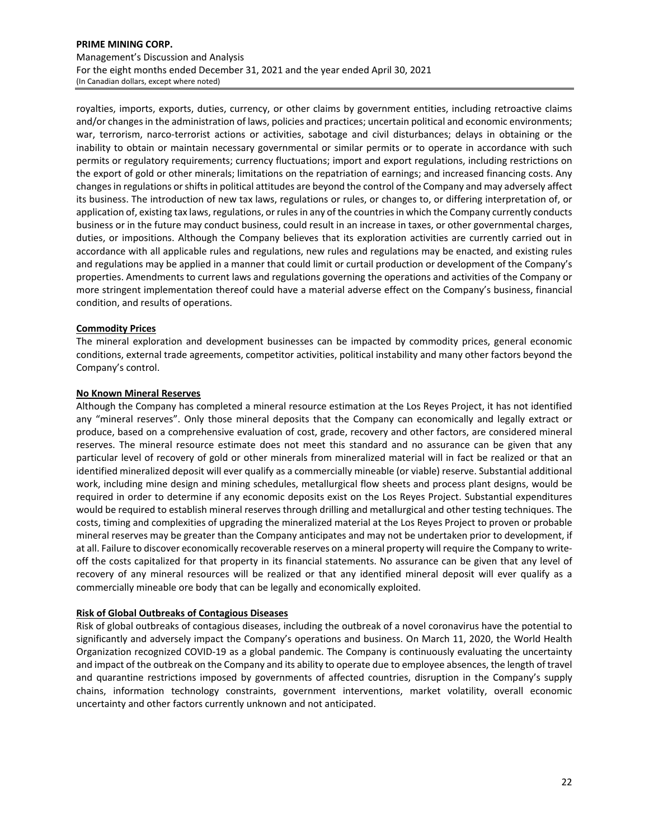# **PRIME MINING CORP.** Management's Discussion and Analysis For the eight months ended December 31, 2021 and the year ended April 30, 2021 (In Canadian dollars, except where noted)

royalties, imports, exports, duties, currency, or other claims by government entities, including retroactive claims and/or changes in the administration of laws, policies and practices; uncertain political and economic environments; war, terrorism, narco-terrorist actions or activities, sabotage and civil disturbances; delays in obtaining or the inability to obtain or maintain necessary governmental or similar permits or to operate in accordance with such permits or regulatory requirements; currency fluctuations; import and export regulations, including restrictions on the export of gold or other minerals; limitations on the repatriation of earnings; and increased financing costs. Any changesin regulations orshiftsin political attitudes are beyond the control of the Company and may adversely affect its business. The introduction of new tax laws, regulations or rules, or changes to, or differing interpretation of, or application of, existing tax laws, regulations, or rules in any of the countries in which the Company currently conducts business or in the future may conduct business, could result in an increase in taxes, or other governmental charges, duties, or impositions. Although the Company believes that its exploration activities are currently carried out in accordance with all applicable rules and regulations, new rules and regulations may be enacted, and existing rules and regulations may be applied in a manner that could limit or curtail production or development of the Company's properties. Amendments to current laws and regulations governing the operations and activities of the Company or more stringent implementation thereof could have a material adverse effect on the Company's business, financial condition, and results of operations.

# **Commodity Prices**

The mineral exploration and development businesses can be impacted by commodity prices, general economic conditions, external trade agreements, competitor activities, political instability and many other factors beyond the Company's control.

#### **No Known Mineral Reserves**

Although the Company has completed a mineral resource estimation at the Los Reyes Project, it has not identified any "mineral reserves". Only those mineral deposits that the Company can economically and legally extract or produce, based on a comprehensive evaluation of cost, grade, recovery and other factors, are considered mineral reserves. The mineral resource estimate does not meet this standard and no assurance can be given that any particular level of recovery of gold or other minerals from mineralized material will in fact be realized or that an identified mineralized deposit will ever qualify as a commercially mineable (or viable) reserve. Substantial additional work, including mine design and mining schedules, metallurgical flow sheets and process plant designs, would be required in order to determine if any economic deposits exist on the Los Reyes Project. Substantial expenditures would be required to establish mineral reserves through drilling and metallurgical and other testing techniques. The costs, timing and complexities of upgrading the mineralized material at the Los Reyes Project to proven or probable mineral reserves may be greater than the Company anticipates and may not be undertaken prior to development, if at all. Failure to discover economically recoverable reserves on a mineral property will require the Company to write‐ off the costs capitalized for that property in its financial statements. No assurance can be given that any level of recovery of any mineral resources will be realized or that any identified mineral deposit will ever qualify as a commercially mineable ore body that can be legally and economically exploited.

#### **Risk of Global Outbreaks of Contagious Diseases**

Risk of global outbreaks of contagious diseases, including the outbreak of a novel coronavirus have the potential to significantly and adversely impact the Company's operations and business. On March 11, 2020, the World Health Organization recognized COVID‐19 as a global pandemic. The Company is continuously evaluating the uncertainty and impact of the outbreak on the Company and its ability to operate due to employee absences, the length of travel and quarantine restrictions imposed by governments of affected countries, disruption in the Company's supply chains, information technology constraints, government interventions, market volatility, overall economic uncertainty and other factors currently unknown and not anticipated.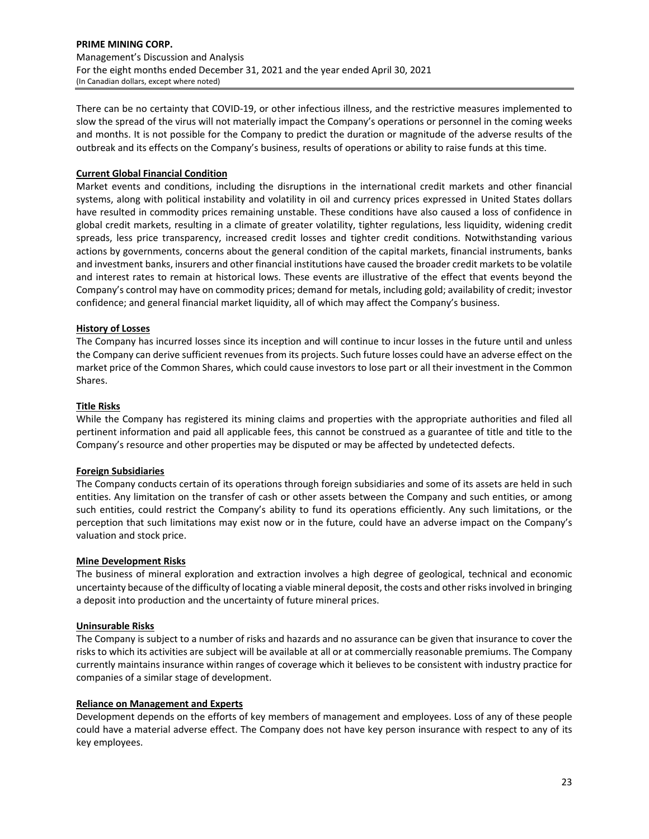## **PRIME MINING CORP.** Management's Discussion and Analysis For the eight months ended December 31, 2021 and the year ended April 30, 2021 (In Canadian dollars, except where noted)

There can be no certainty that COVID‐19, or other infectious illness, and the restrictive measures implemented to slow the spread of the virus will not materially impact the Company's operations or personnel in the coming weeks and months. It is not possible for the Company to predict the duration or magnitude of the adverse results of the outbreak and its effects on the Company's business, results of operations or ability to raise funds at this time.

# **Current Global Financial Condition**

Market events and conditions, including the disruptions in the international credit markets and other financial systems, along with political instability and volatility in oil and currency prices expressed in United States dollars have resulted in commodity prices remaining unstable. These conditions have also caused a loss of confidence in global credit markets, resulting in a climate of greater volatility, tighter regulations, less liquidity, widening credit spreads, less price transparency, increased credit losses and tighter credit conditions. Notwithstanding various actions by governments, concerns about the general condition of the capital markets, financial instruments, banks and investment banks, insurers and other financial institutions have caused the broader credit markets to be volatile and interest rates to remain at historical lows. These events are illustrative of the effect that events beyond the Company's control may have on commodity prices; demand for metals, including gold; availability of credit; investor confidence; and general financial market liquidity, all of which may affect the Company's business.

# **History of Losses**

The Company has incurred losses since its inception and will continue to incur losses in the future until and unless the Company can derive sufficient revenues from its projects. Such future losses could have an adverse effect on the market price of the Common Shares, which could cause investors to lose part or all their investment in the Common Shares.

# **Title Risks**

While the Company has registered its mining claims and properties with the appropriate authorities and filed all pertinent information and paid all applicable fees, this cannot be construed as a guarantee of title and title to the Company's resource and other properties may be disputed or may be affected by undetected defects.

# **Foreign Subsidiaries**

The Company conducts certain of its operations through foreign subsidiaries and some of its assets are held in such entities. Any limitation on the transfer of cash or other assets between the Company and such entities, or among such entities, could restrict the Company's ability to fund its operations efficiently. Any such limitations, or the perception that such limitations may exist now or in the future, could have an adverse impact on the Company's valuation and stock price.

# **Mine Development Risks**

The business of mineral exploration and extraction involves a high degree of geological, technical and economic uncertainty because of the difficulty of locating a viable mineral deposit, the costs and other risksinvolved in bringing a deposit into production and the uncertainty of future mineral prices.

# **Uninsurable Risks**

The Company is subject to a number of risks and hazards and no assurance can be given that insurance to cover the risks to which its activities are subject will be available at all or at commercially reasonable premiums. The Company currently maintains insurance within ranges of coverage which it believes to be consistent with industry practice for companies of a similar stage of development.

#### **Reliance on Management and Experts**

Development depends on the efforts of key members of management and employees. Loss of any of these people could have a material adverse effect. The Company does not have key person insurance with respect to any of its key employees.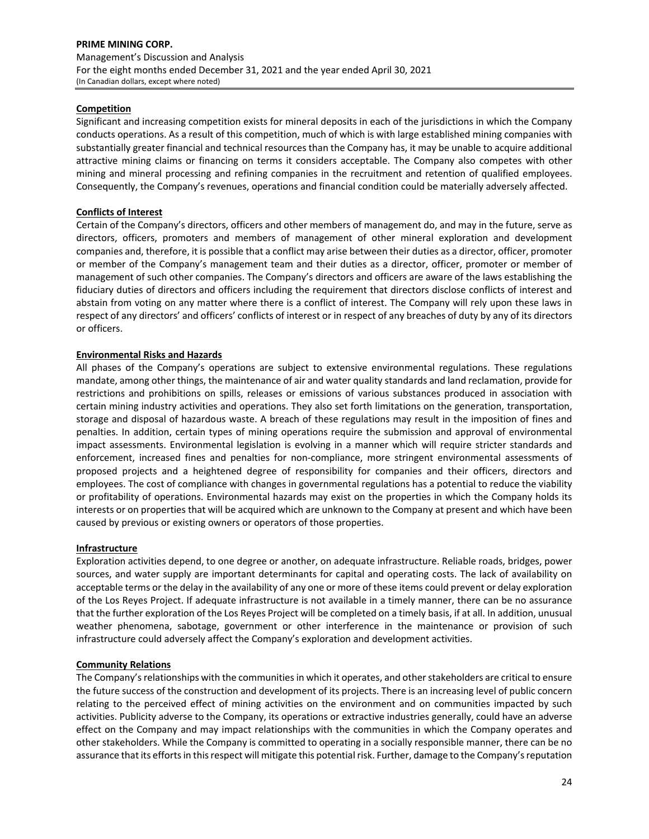# **Competition**

Significant and increasing competition exists for mineral deposits in each of the jurisdictions in which the Company conducts operations. As a result of this competition, much of which is with large established mining companies with substantially greater financial and technical resources than the Company has, it may be unable to acquire additional attractive mining claims or financing on terms it considers acceptable. The Company also competes with other mining and mineral processing and refining companies in the recruitment and retention of qualified employees. Consequently, the Company's revenues, operations and financial condition could be materially adversely affected.

## **Conflicts of Interest**

Certain of the Company's directors, officers and other members of management do, and may in the future, serve as directors, officers, promoters and members of management of other mineral exploration and development companies and, therefore, it is possible that a conflict may arise between their duties as a director, officer, promoter or member of the Company's management team and their duties as a director, officer, promoter or member of management of such other companies. The Company's directors and officers are aware of the laws establishing the fiduciary duties of directors and officers including the requirement that directors disclose conflicts of interest and abstain from voting on any matter where there is a conflict of interest. The Company will rely upon these laws in respect of any directors' and officers' conflicts of interest or in respect of any breaches of duty by any of its directors or officers.

## **Environmental Risks and Hazards**

All phases of the Company's operations are subject to extensive environmental regulations. These regulations mandate, among other things, the maintenance of air and water quality standards and land reclamation, provide for restrictions and prohibitions on spills, releases or emissions of various substances produced in association with certain mining industry activities and operations. They also set forth limitations on the generation, transportation, storage and disposal of hazardous waste. A breach of these regulations may result in the imposition of fines and penalties. In addition, certain types of mining operations require the submission and approval of environmental impact assessments. Environmental legislation is evolving in a manner which will require stricter standards and enforcement, increased fines and penalties for non-compliance, more stringent environmental assessments of proposed projects and a heightened degree of responsibility for companies and their officers, directors and employees. The cost of compliance with changes in governmental regulations has a potential to reduce the viability or profitability of operations. Environmental hazards may exist on the properties in which the Company holds its interests or on properties that will be acquired which are unknown to the Company at present and which have been caused by previous or existing owners or operators of those properties.

#### **Infrastructure**

Exploration activities depend, to one degree or another, on adequate infrastructure. Reliable roads, bridges, power sources, and water supply are important determinants for capital and operating costs. The lack of availability on acceptable terms or the delay in the availability of any one or more of these items could prevent or delay exploration of the Los Reyes Project. If adequate infrastructure is not available in a timely manner, there can be no assurance that the further exploration of the Los Reyes Project will be completed on a timely basis, if at all. In addition, unusual weather phenomena, sabotage, government or other interference in the maintenance or provision of such infrastructure could adversely affect the Company's exploration and development activities.

#### **Community Relations**

The Company's relationships with the communities in which it operates, and other stakeholders are critical to ensure the future success of the construction and development of its projects. There is an increasing level of public concern relating to the perceived effect of mining activities on the environment and on communities impacted by such activities. Publicity adverse to the Company, its operations or extractive industries generally, could have an adverse effect on the Company and may impact relationships with the communities in which the Company operates and other stakeholders. While the Company is committed to operating in a socially responsible manner, there can be no assurance that its efforts in this respect will mitigate this potential risk. Further, damage to the Company's reputation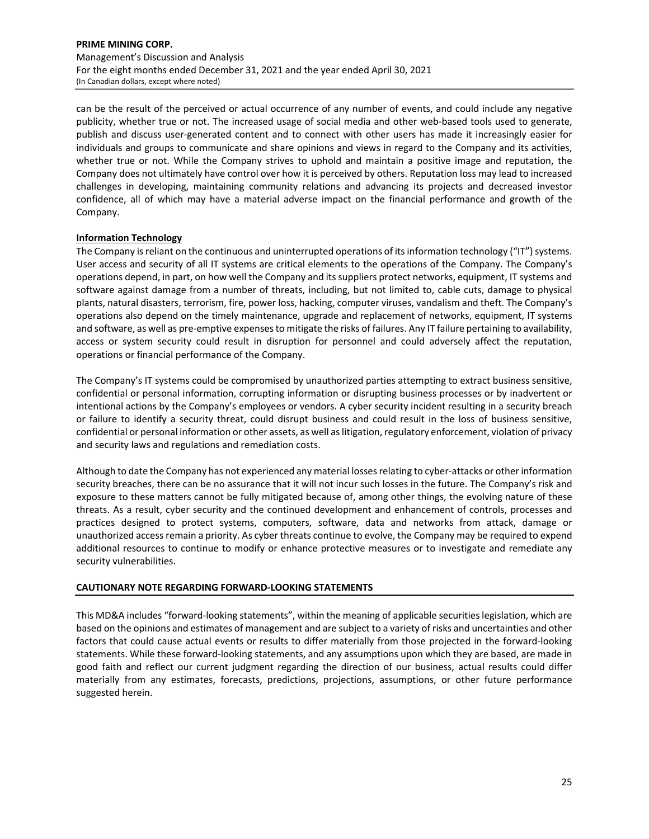can be the result of the perceived or actual occurrence of any number of events, and could include any negative publicity, whether true or not. The increased usage of social media and other web-based tools used to generate, publish and discuss user‐generated content and to connect with other users has made it increasingly easier for individuals and groups to communicate and share opinions and views in regard to the Company and its activities, whether true or not. While the Company strives to uphold and maintain a positive image and reputation, the Company does not ultimately have control over how it is perceived by others. Reputation loss may lead to increased challenges in developing, maintaining community relations and advancing its projects and decreased investor confidence, all of which may have a material adverse impact on the financial performance and growth of the Company.

## **Information Technology**

The Company is reliant on the continuous and uninterrupted operations of its information technology ("IT") systems. User access and security of all IT systems are critical elements to the operations of the Company. The Company's operations depend, in part, on how well the Company and itssuppliers protect networks, equipment, IT systems and software against damage from a number of threats, including, but not limited to, cable cuts, damage to physical plants, natural disasters, terrorism, fire, power loss, hacking, computer viruses, vandalism and theft. The Company's operations also depend on the timely maintenance, upgrade and replacement of networks, equipment, IT systems and software, as well as pre-emptive expenses to mitigate the risks of failures. Any IT failure pertaining to availability, access or system security could result in disruption for personnel and could adversely affect the reputation, operations or financial performance of the Company.

The Company's IT systems could be compromised by unauthorized parties attempting to extract business sensitive, confidential or personal information, corrupting information or disrupting business processes or by inadvertent or intentional actions by the Company's employees or vendors. A cyber security incident resulting in a security breach or failure to identify a security threat, could disrupt business and could result in the loss of business sensitive, confidential or personal information or other assets, as well aslitigation, regulatory enforcement, violation of privacy and security laws and regulations and remediation costs.

Although to date the Company has not experienced any material losses relating to cyber-attacks or other information security breaches, there can be no assurance that it will not incur such losses in the future. The Company's risk and exposure to these matters cannot be fully mitigated because of, among other things, the evolving nature of these threats. As a result, cyber security and the continued development and enhancement of controls, processes and practices designed to protect systems, computers, software, data and networks from attack, damage or unauthorized access remain a priority. As cyber threats continue to evolve, the Company may be required to expend additional resources to continue to modify or enhance protective measures or to investigate and remediate any security vulnerabilities.

#### **CAUTIONARY NOTE REGARDING FORWARD‐LOOKING STATEMENTS**

This MD&A includes "forward‐looking statements", within the meaning of applicable securitieslegislation, which are based on the opinions and estimates of management and are subject to a variety of risks and uncertainties and other factors that could cause actual events or results to differ materially from those projected in the forward‐looking statements. While these forward‐looking statements, and any assumptions upon which they are based, are made in good faith and reflect our current judgment regarding the direction of our business, actual results could differ materially from any estimates, forecasts, predictions, projections, assumptions, or other future performance suggested herein.